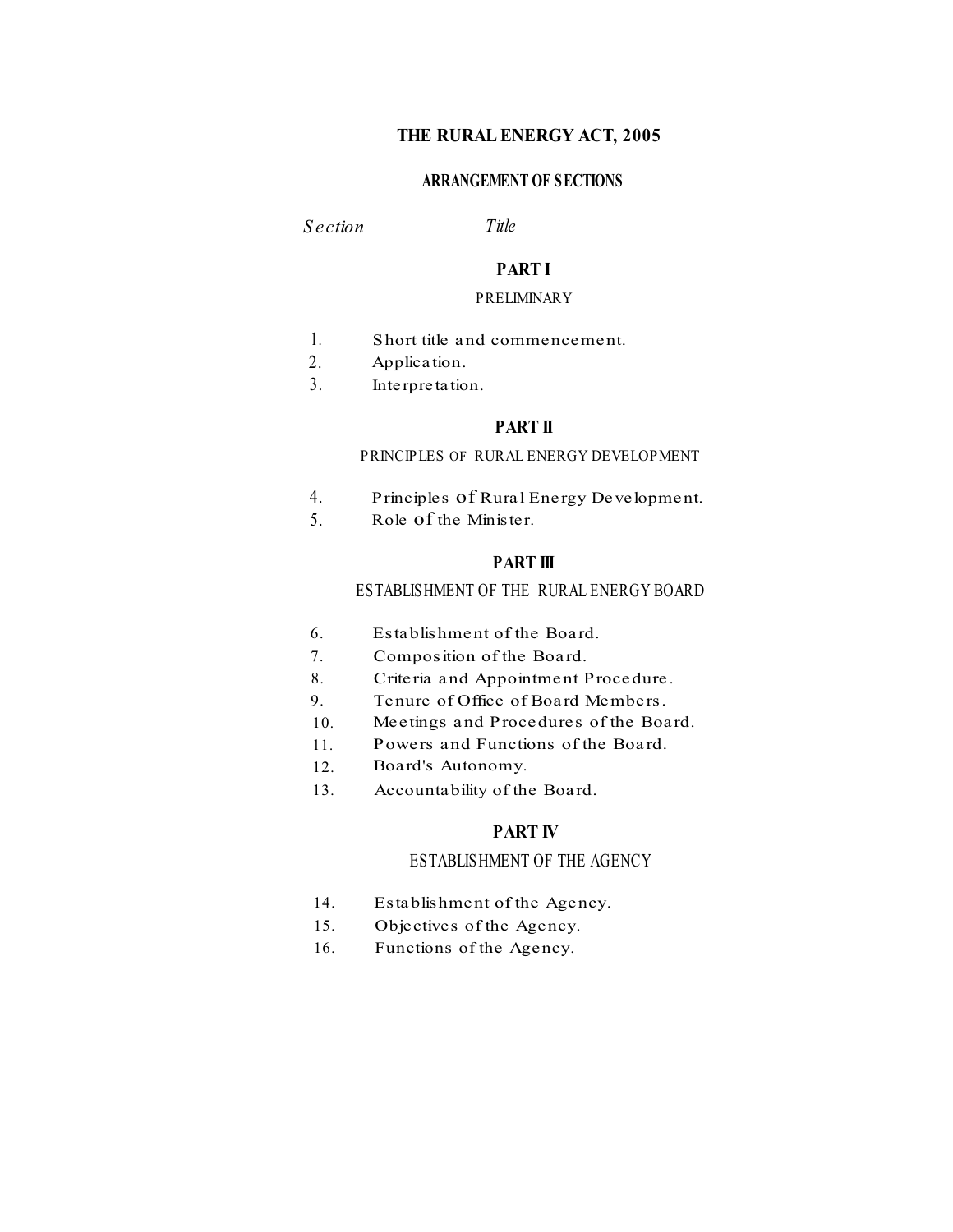## **THE RURAL ENERGY ACT, 2005**

## **ARRANGEMENT OF SECTIONS**

*S ection Title*

## **PART I**

#### PRELIMINARY

- 1. Short title and commencement.
- 2. Application.
- 3. Interpretation.

## **PART II**

## PRINCIPLES OF RURAL ENERGY DEVELOPMENT

- Principles of Rural Energy Development. 4.
- Role of the Minister. 5.

## **PART III**

## ESTABLISHMENT OF THE RURAL ENERGY BOARD

- 6. Establishment of the Board.
- 7. Composition of the Board.
- 8. Criteria and Appointment Procedure.
- Tenure of Office of Board Members. 9.
- Meetings and Procedures of the Board. 10.
- Powers and Functions of the Board. 11.
- 12. Board's Autonomy.
- 13. Accountability of the Board.

## **PART IV**

## ESTABLISHMENT OF THE AGENCY

- 14. Establishment of the Agency.
- 15. Objectives of the Agency.
- 16. Functions of the Agency.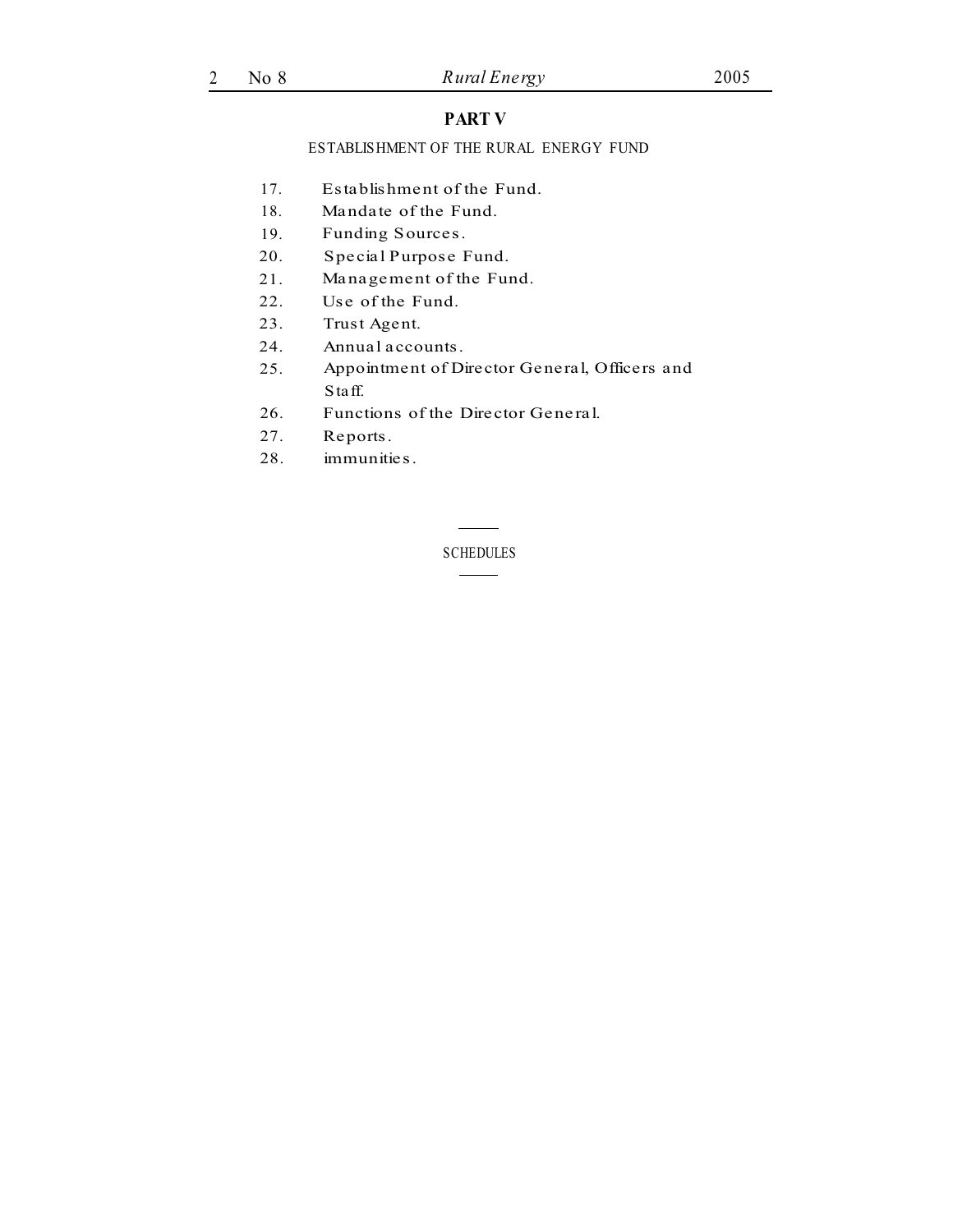## **PART V**

## ESTABLISHMENT OF THE RURAL ENERGY FUND

- 17. Establishment of the Fund.
- 18. Mandate of the Fund.
- 19. Funding Sources.
- 20. Special Purpose Fund.
- 21. Management of the Fund.
- 22. Use of the Fund.
- 23. Trust Agent.
- 24. Annual accounts.
- 25. Appointment of Director General, Officers and Staff.
- 26. Functions of the Director General.
- 27. Reports.
- 28. immunities.

**SCHEDULES**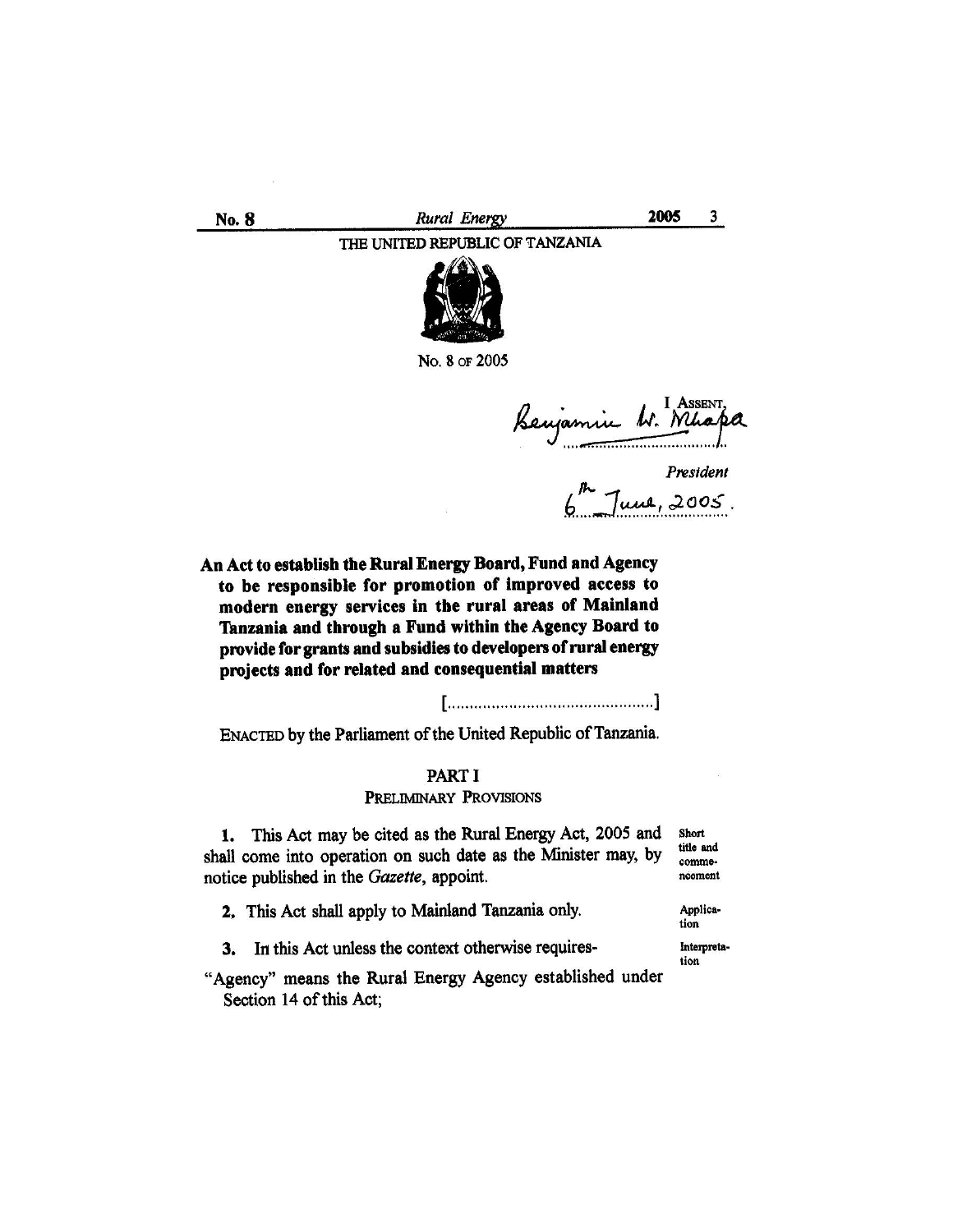2005  $3<sup>1</sup>$ No. 8 Rural Energy THE UNITED REPUBLIC OF TANZANIA



No. 8 or 2005

Benjamin W. Mhapa

President<br> $\int_0^{p_1}$  June, 2005.

An Act to establish the Rural Energy Board, Fund and Agency to be responsible for promotion of improved access to modern energy services in the rural areas of Mainland Tanzania and through a Fund within the Agency Board to provide for grants and subsidies to developers of rural energy projects and for related and consequential matters

ENACTED by the Parliament of the United Republic of Tanzania.

PART I PRELIMINARY PROVISIONS

This Act may be cited as the Rural Energy Act, 2005 and 1. shall come into operation on such date as the Minister may, by notice published in the Gazette, appoint.

Short title and commencoment

2. This Act shall apply to Mainland Tanzania only.

tion Interpretation

Applica-

3. In this Act unless the context otherwise requires-

"Agency" means the Rural Energy Agency established under Section 14 of this Act;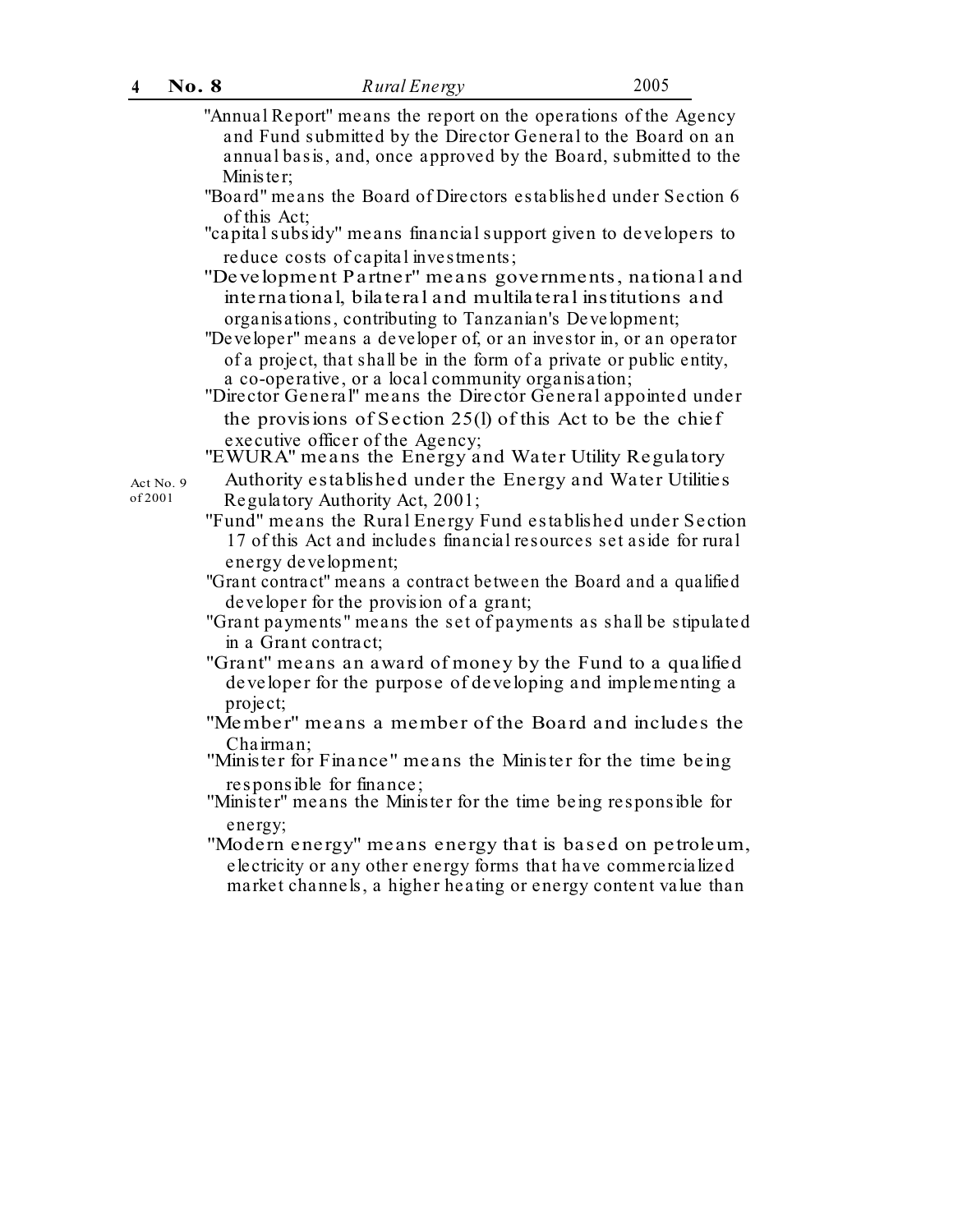| $\overline{4}$       | No. 8 | Rural Energy                                                                                                                                                                                                                                                         | 2005 |
|----------------------|-------|----------------------------------------------------------------------------------------------------------------------------------------------------------------------------------------------------------------------------------------------------------------------|------|
|                      |       | "Annual Report" means the report on the operations of the Agency<br>and Fund submitted by the Director General to the Board on an<br>annual basis, and, once approved by the Board, submitted to the<br>Minister;                                                    |      |
|                      |       | "Board" means the Board of Directors established under Section 6                                                                                                                                                                                                     |      |
|                      |       | of this Act;<br>"capital subsidy" means financial support given to developers to                                                                                                                                                                                     |      |
|                      |       | reduce costs of capital investments;<br>"Development Partner" means governments, national and<br>international, bilateral and multilateral institutions and<br>organisations, contributing to Tanzanian's Development;                                               |      |
|                      |       | "Developer" means a developer of, or an investor in, or an operator<br>of a project, that shall be in the form of a private or public entity,<br>a co-operative, or a local community organisation;<br>"Director General" means the Director General appointed under |      |
|                      |       | the provisions of Section 25(I) of this Act to be the chief                                                                                                                                                                                                          |      |
|                      |       | executive officer of the Agency;<br>"EWURA" means the Energy and Water Utility Regulatory                                                                                                                                                                            |      |
| Act No. 9<br>of 2001 |       | Authority established under the Energy and Water Utilities<br>Regulatory Authority Act, 2001;                                                                                                                                                                        |      |
|                      |       | "Fund" means the Rural Energy Fund established under Section<br>17 of this Act and includes financial resources set aside for rural                                                                                                                                  |      |
|                      |       | energy development;<br>"Grant contract" means a contract between the Board and a qualified<br>developer for the provision of a grant;                                                                                                                                |      |
|                      |       | "Grant payments" means the set of payments as shall be stipulated<br>in a Grant contract;                                                                                                                                                                            |      |
|                      |       | "Grant" means an award of money by the Fund to a qualified<br>developer for the purpose of developing and implementing a<br>project;                                                                                                                                 |      |
|                      |       | "Member" means a member of the Board and includes the                                                                                                                                                                                                                |      |
|                      |       | Chairman;<br>"Minister for Finance" means the Minister for the time being                                                                                                                                                                                            |      |
|                      |       | responsible for finance;<br>"Minister" means the Minister for the time being responsible for<br>energy;                                                                                                                                                              |      |
|                      |       | "Modern energy" means energy that is based on petroleum,<br>electricity or any other energy forms that have commercialized<br>market channels, a higher heating or energy content value than                                                                         |      |
|                      |       |                                                                                                                                                                                                                                                                      |      |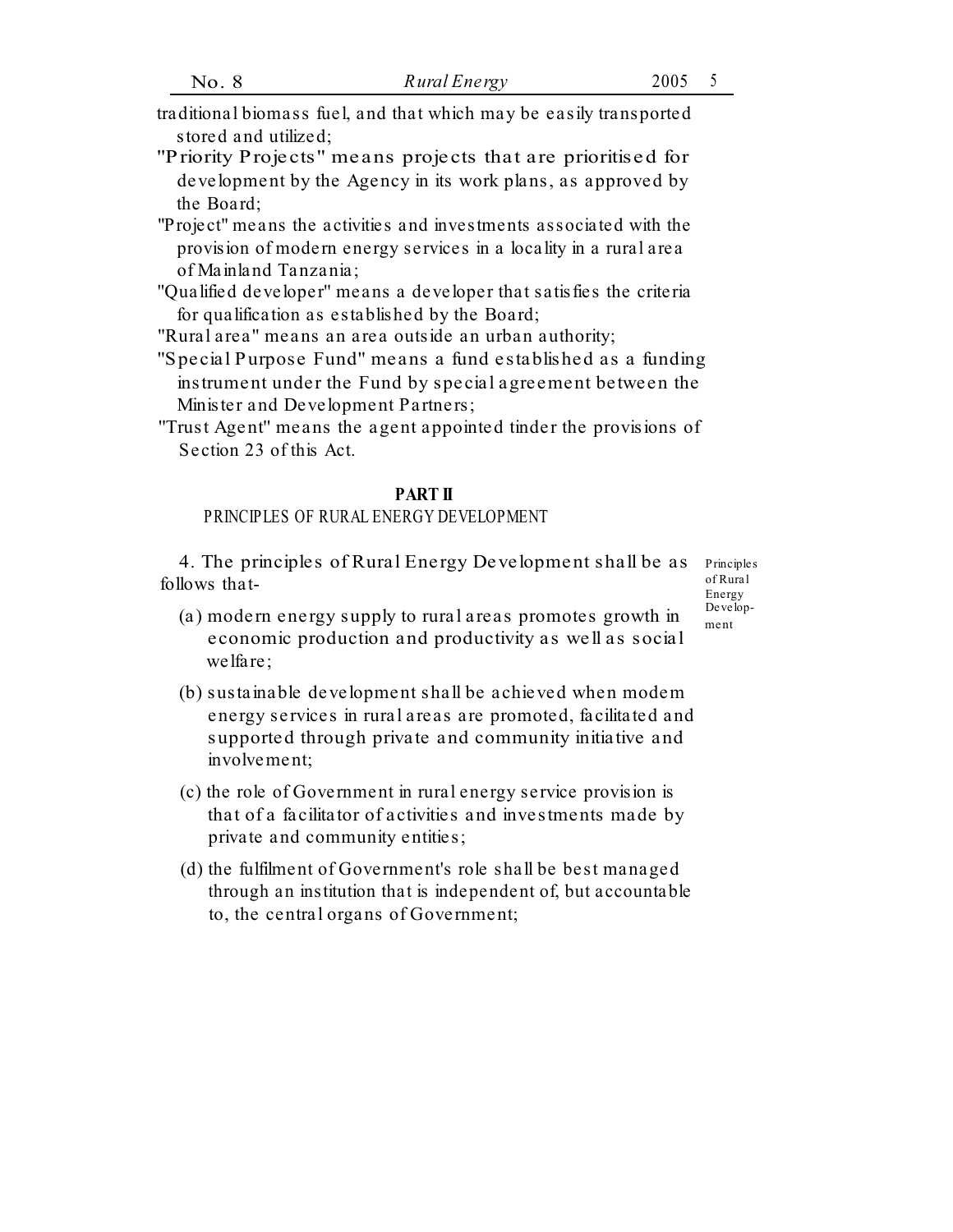- traditional biomass fuel, and that which may be easily transported stored and utilized;
- ''Priority Projects'' means projects that are prioritised for development by the Agency in its work plans, as approved by the Board;
- "Project" means the activities and investments associated with the provision of modern energy services in a locality in a rural area of Mainland Tanzania;
- "Qualified developer" means a developer that satisfies the criteria for qualification as established by the Board;

''Rural area'' means an area outside an urban authority;

- ''Special Purpose Fund'' means a fund established as a funding instrument under the Fund by special agreement between the Minister and Development Partners;
- ''Trust Agent'' means the agent appointed tinder the provisions of Section 23 of this Act.

#### **PART II**

## PRINCIPLES OF RURAL ENERGY DEVELOPMENT

4. The principles of Rural Energy Development shall be as Principles follows that-

of Rural Energy<br>Develop-

- (a) modern energy supply to rural areas promotes growth in  $\frac{D_e}{m_{\text{ent}}}$ economic production and productivity as well as social welfare;
- (b) sustainable development shall be achieved when modem energy services in rural areas are promoted, facilitated and supported through private and community initiative and involvement;
- (c) the role of Government in rural energy service provision is that of a facilitator of activities and investments made by private and community entities;
- (d) the fulfilment of Government's role shall be best managed through an institution that is independent of, but accountable to, the central organs of Government;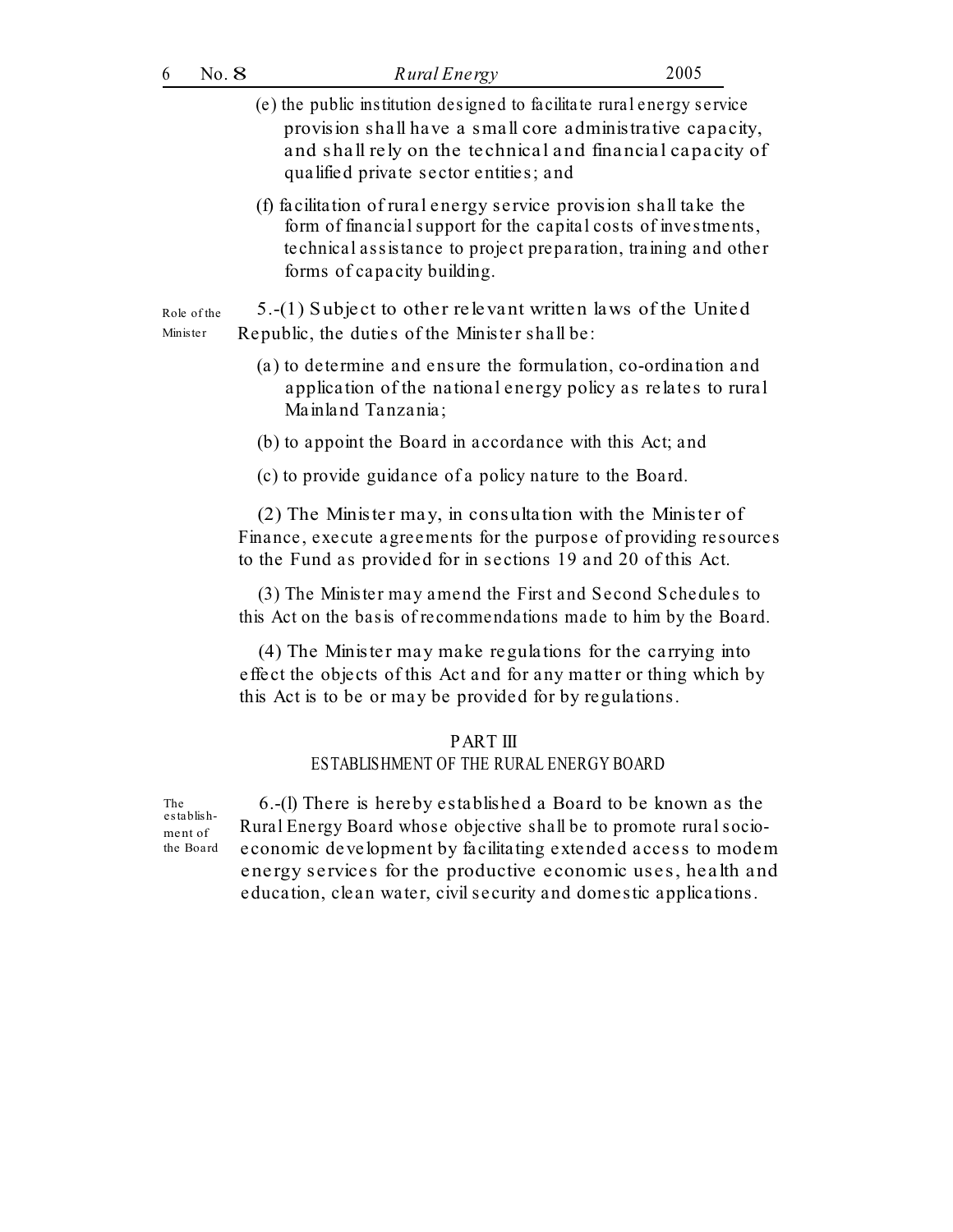| 6                                         | No. 8 | Rural Energy                                                                                                                                                                                                                                                                                                                               | 2005 |
|-------------------------------------------|-------|--------------------------------------------------------------------------------------------------------------------------------------------------------------------------------------------------------------------------------------------------------------------------------------------------------------------------------------------|------|
|                                           |       | (e) the public institution designed to facilitate rural energy service<br>provision shall have a small core administrative capacity,<br>and shall rely on the technical and financial capacity of<br>qualified private sector entities; and                                                                                                |      |
|                                           |       | (f) facilitation of rural energy service provision shall take the<br>form of financial support for the capital costs of investments,<br>technical assistance to project preparation, training and other<br>forms of capacity building.                                                                                                     |      |
| Role of the<br>Minister                   |       | 5.-(1) Subject to other relevant written laws of the United<br>Republic, the duties of the Minister shall be:                                                                                                                                                                                                                              |      |
|                                           |       | (a) to determine and ensure the formulation, co-ordination and<br>application of the national energy policy as relates to rural<br>Mainland Tanzania;                                                                                                                                                                                      |      |
|                                           |       | (b) to appoint the Board in accordance with this Act; and                                                                                                                                                                                                                                                                                  |      |
|                                           |       | (c) to provide guidance of a policy nature to the Board.                                                                                                                                                                                                                                                                                   |      |
|                                           |       | (2) The Minister may, in consultation with the Minister of<br>Finance, execute agreements for the purpose of providing resources<br>to the Fund as provided for in sections 19 and 20 of this Act.                                                                                                                                         |      |
|                                           |       | (3) The Minister may amend the First and Second Schedules to<br>this Act on the basis of recommendations made to him by the Board.                                                                                                                                                                                                         |      |
|                                           |       | (4) The Minister may make regulations for the carrying into<br>effect the objects of this Act and for any matter or thing which by<br>this Act is to be or may be provided for by regulations.                                                                                                                                             |      |
|                                           |       | <b>PARTIII</b><br>ESTABLISHMENT OF THE RURAL ENERGY BOARD                                                                                                                                                                                                                                                                                  |      |
| The<br>establish-<br>ment of<br>the Board |       | 6.-(1) There is hereby established a Board to be known as the<br>Rural Energy Board whose objective shall be to promote rural socio-<br>economic development by facilitating extended access to modem<br>energy services for the productive economic uses, health and<br>education, clean water, civil security and domestic applications. |      |
|                                           |       |                                                                                                                                                                                                                                                                                                                                            |      |
|                                           |       |                                                                                                                                                                                                                                                                                                                                            |      |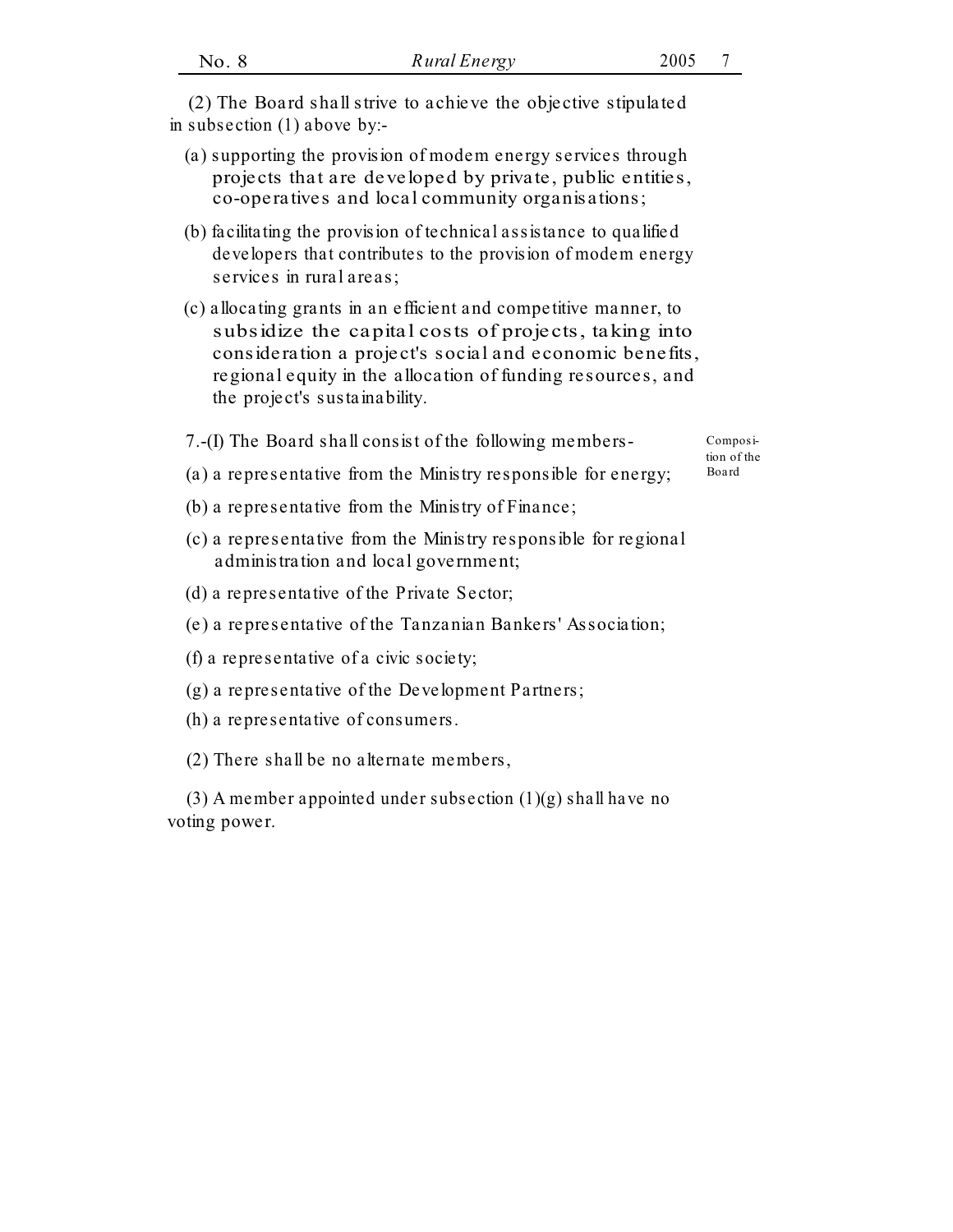|                                                          | (2) The Board shall strive to achieve the objective stipulated<br>in subsection (1) above by:-                                                                                                                                                                                      |                      |  |
|----------------------------------------------------------|-------------------------------------------------------------------------------------------------------------------------------------------------------------------------------------------------------------------------------------------------------------------------------------|----------------------|--|
|                                                          | (a) supporting the provision of modem energy services through<br>projects that are developed by private, public entities,<br>co-operatives and local community organisations;                                                                                                       |                      |  |
|                                                          | (b) facilitating the provision of technical assistance to qualified<br>developers that contributes to the provision of modem energy<br>services in rural areas;                                                                                                                     |                      |  |
|                                                          | (c) allocating grants in an efficient and competitive manner, to<br>subsidize the capital costs of projects, taking into<br>consideration a project's social and economic benefits,<br>regional equity in the allocation of funding resources, and<br>the project's sustainability. |                      |  |
| 7.-(I) The Board shall consist of the following members- |                                                                                                                                                                                                                                                                                     |                      |  |
|                                                          | (a) a representative from the Ministry responsible for energy;                                                                                                                                                                                                                      | tion of the<br>Board |  |
|                                                          | (b) a representative from the Ministry of Finance;                                                                                                                                                                                                                                  |                      |  |
|                                                          | (c) a representative from the Ministry responsible for regional                                                                                                                                                                                                                     |                      |  |

- administration and local government;
- (d) a representative of the Private Sector;
- (e) a representative of the Tanzanian Bankers' Association;
- (f) a representative of a civic society;
- (g) a representative of the Development Partners;
- (h) a representative of consumers.
- (2) There shall be no alternate members,

(3) A member appointed under subsection (1)(g) shall have no voting power.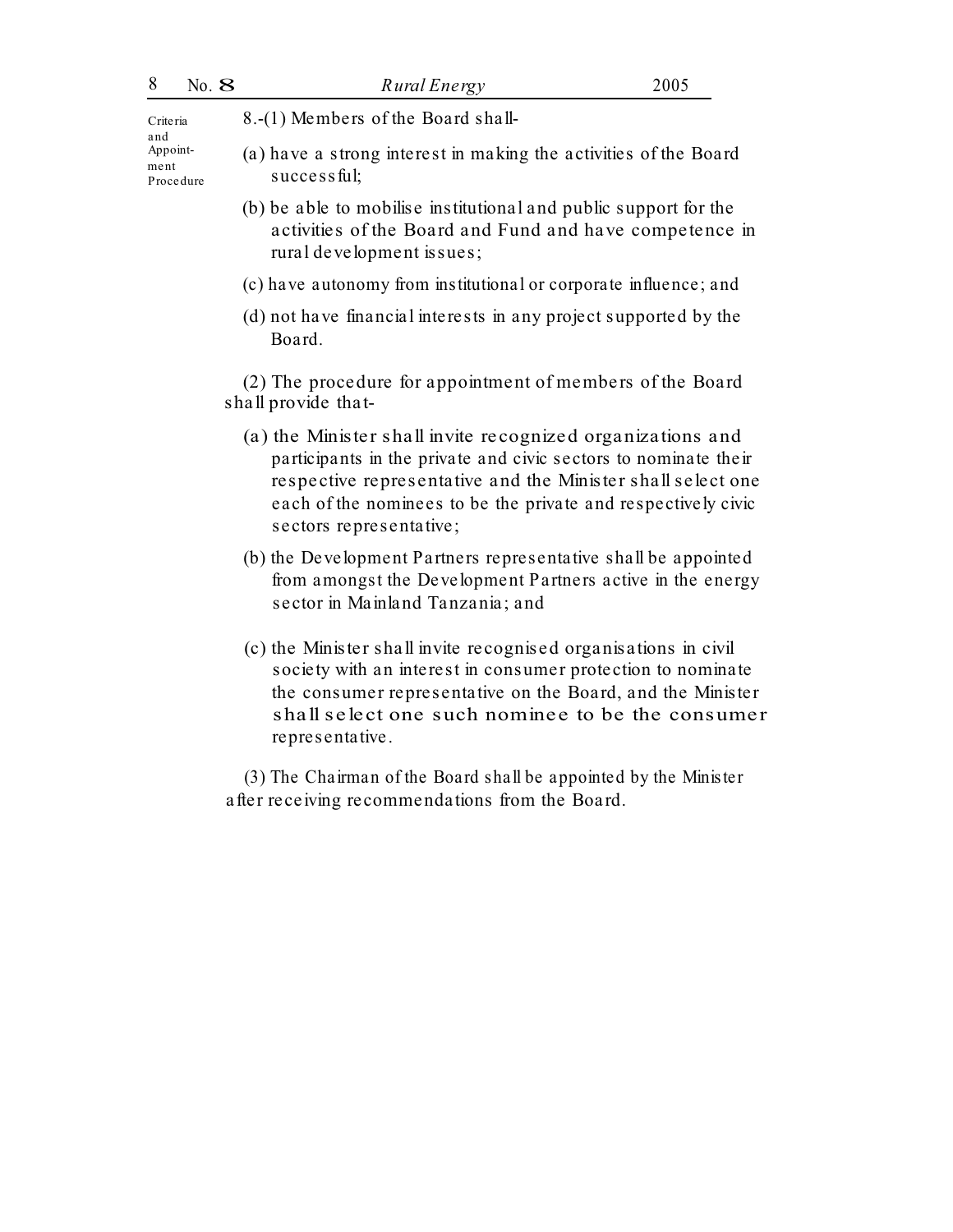# <sup>8</sup> No. 8 *Rural Energy* <sup>2005</sup>

and Procedure

Criteria 8.-(1) Members of the Board shall-

- Appoint- (a) have a strong interest in making the activities of the Board  $successful:$ 
	- (b) be able to mobilise institutional and public support for the activities of the Board and Fund and have competence in rural development issues;
	- (c) have autonomy from institutional or corporate influence; and
	- (d) not have financial interests in any project supported by the Board.

(2) The procedure for appointment of members of the Board shall provide that-

- (a) the Minister shall invite recognized organizations and participants in the private and civic sectors to nominate their respective representative and the Minister shall select one each of the nominees to be the private and respectively civic sectors representative;
- (b) the Development Partners representative shall be appointed from amongst the Development Partners active in the energy sector in Mainland Tanzania; and
- (c) the Minister shall invite recognised organisations in civil society with an interest in consumer protection to nominate the consumer representative on the Board, and the Minister shall select one such nominee to be the consumer representative.

(3) The Chairman of the Board shall be appointed by the Minister after receiving recommendations from the Board.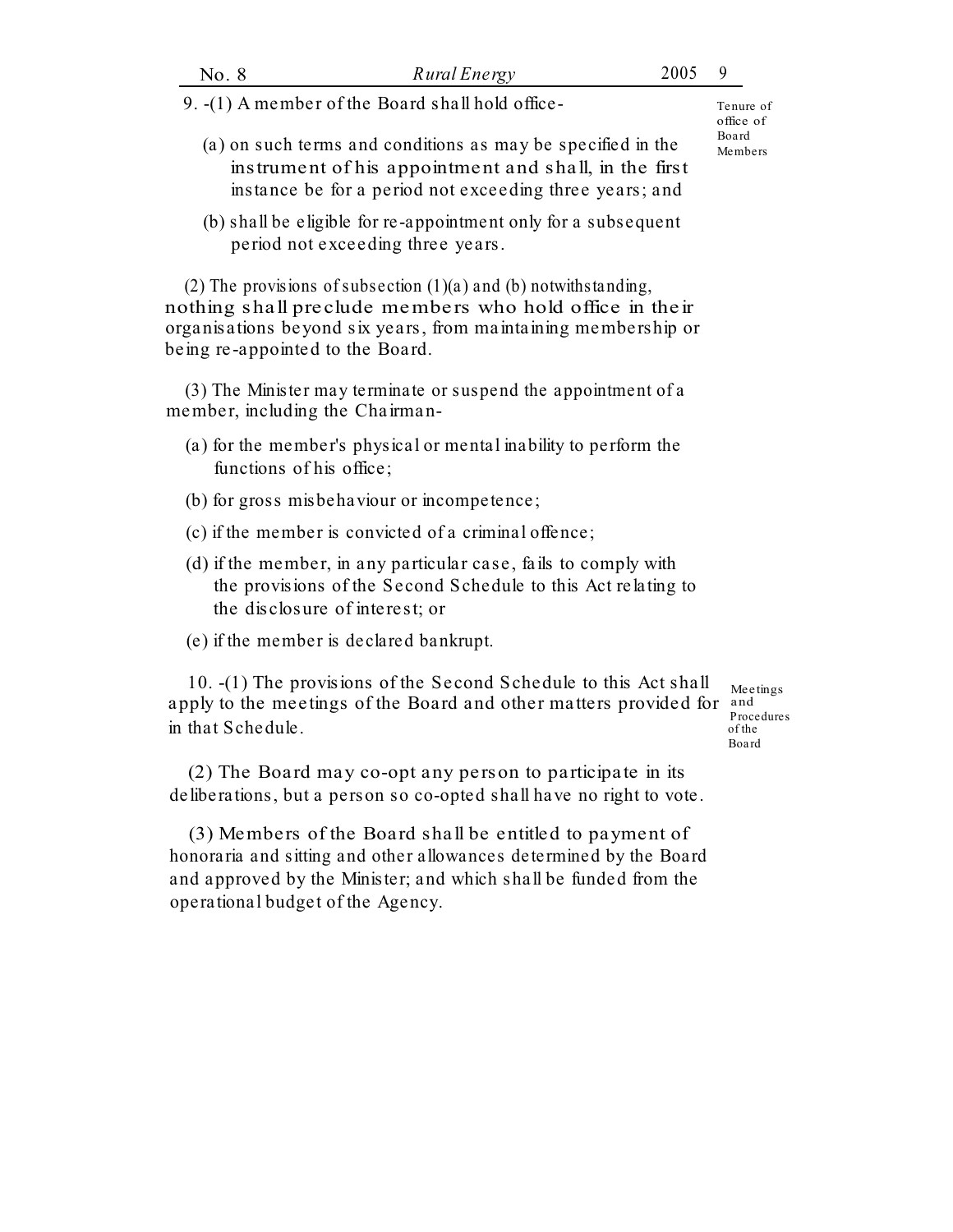| No. 8                                                                                                                                                                           | Rural Energy                                                                                                                                                                                      | 2005             | 9                                         |
|---------------------------------------------------------------------------------------------------------------------------------------------------------------------------------|---------------------------------------------------------------------------------------------------------------------------------------------------------------------------------------------------|------------------|-------------------------------------------|
| 9. -(1) A member of the Board shall hold office-                                                                                                                                |                                                                                                                                                                                                   |                  |                                           |
| (a) on such terms and conditions as may be specified in the<br>instrument of his appointment and shall, in the first<br>instance be for a period not exceeding three years; and |                                                                                                                                                                                                   | Board<br>Members |                                           |
|                                                                                                                                                                                 | (b) shall be eligible for re-appointment only for a subsequent<br>period not exceeding three years.                                                                                               |                  |                                           |
| being re-appointed to the Board.                                                                                                                                                | (2) The provisions of subsection $(1)(a)$ and $(b)$ notwithstanding,<br>nothing shall preclude members who hold office in their<br>organisations beyond six years, from maintaining membership or |                  |                                           |
| member, including the Chairman-                                                                                                                                                 | (3) The Minister may terminate or suspend the appointment of a                                                                                                                                    |                  |                                           |
| functions of his office;                                                                                                                                                        | (a) for the member's physical or mental inability to perform the                                                                                                                                  |                  |                                           |
|                                                                                                                                                                                 | (b) for gross misbehaviour or incompetence;                                                                                                                                                       |                  |                                           |
|                                                                                                                                                                                 | (c) if the member is convicted of a criminal offence;                                                                                                                                             |                  |                                           |
|                                                                                                                                                                                 | (d) if the member, in any particular case, fails to comply with<br>the provisions of the Second Schedule to this Act relating to<br>the disclosure of interest; or                                |                  |                                           |
|                                                                                                                                                                                 | (e) if the member is declared bankrupt.                                                                                                                                                           |                  |                                           |
| in that Schedule.                                                                                                                                                               | 10. -(1) The provisions of the Second Schedule to this Act shall<br>apply to the meetings of the Board and other matters provided for                                                             |                  | Meetings<br>and<br>Proce dure s<br>of the |

(2) The Board may co-opt any person to participate in its deliberations, but a person so co-opted shall have no right to vote.

(3) Members of the Board shall be entitled to payment of honoraria and sitting and other allowances determined by the Board and approved by the Minister; and which shall be funded from the operational budget of the Agency.

Board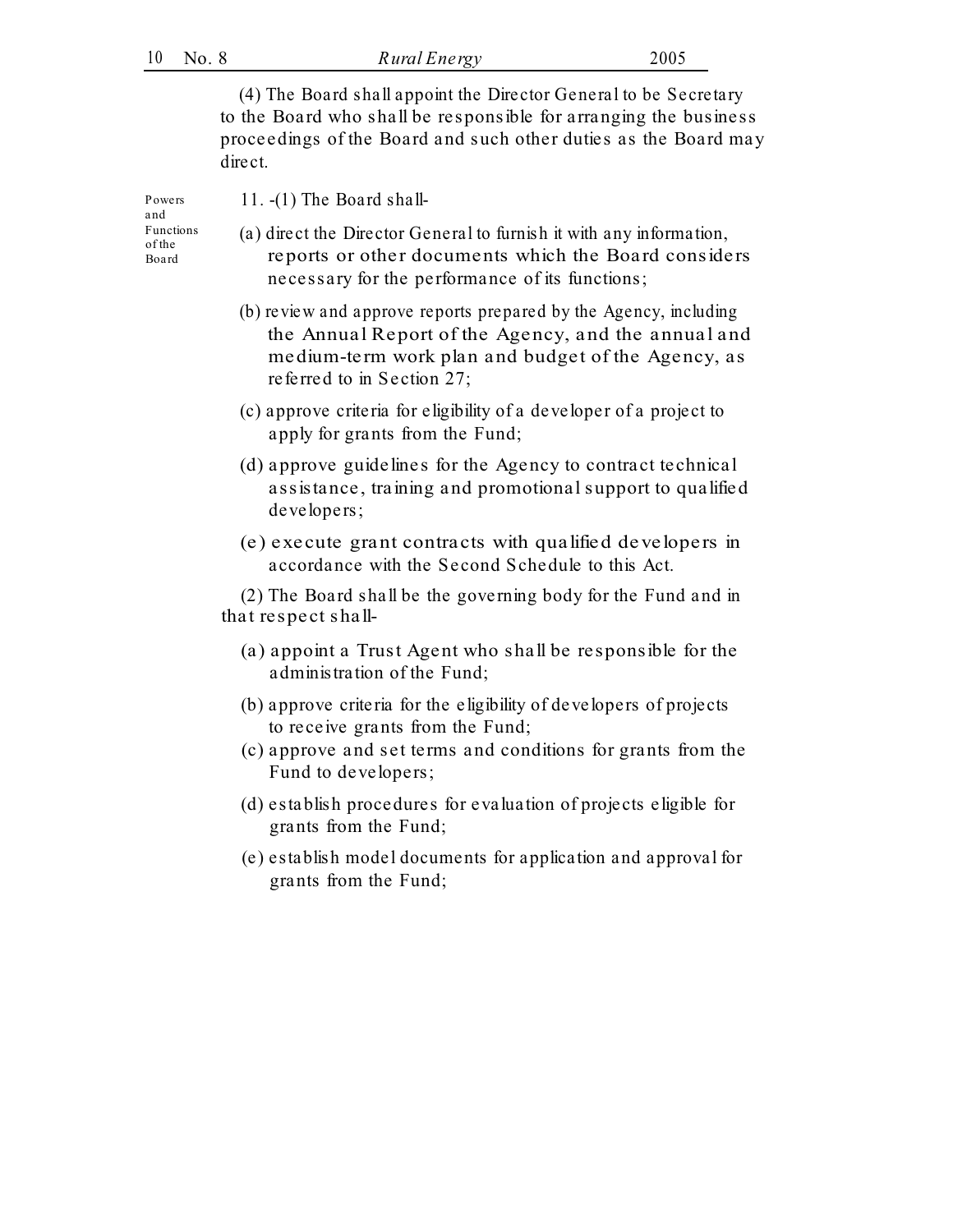(4) The Board shall appoint the Director General to be Secretary to the Board who shall be responsible for arranging the business proceedings of the Board and such other duties as the Board may direct.

and Board

Powers 11. -(1) The Board shall-

- Functions (a) direct the Director General to furnish it with any information, of the reports or other documents which the Board considers necessary for the performance of its functions;
	- (b) review and approve reports prepared by the Agency, including the Annual Report of the Agency, and the annual and medium-term work plan and budget of the Agency, as referred to in Section 27;
	- (c) approve criteria for eligibility of a developer of a project to apply for grants from the Fund;
	- (d) approve guidelines for the Agency to contract technical assistance, training and promotional support to qualified developers;
	- (e) execute grant contracts with qualified developers in accordance with the Second Schedule to this Act.

(2) The Board shall be the governing body for the Fund and in that respect shall-

- (a) appoint a Trust Agent who shall be responsible for the administration of the Fund;
- (b) approve criteria for the eligibility of developers of projects to receive grants from the Fund;
- (c) approve and set terms and conditions for grants from the Fund to developers;
- (d) establish procedures for evaluation of projects eligible for grants from the Fund;
- (e) establish model documents for application and approval for grants from the Fund;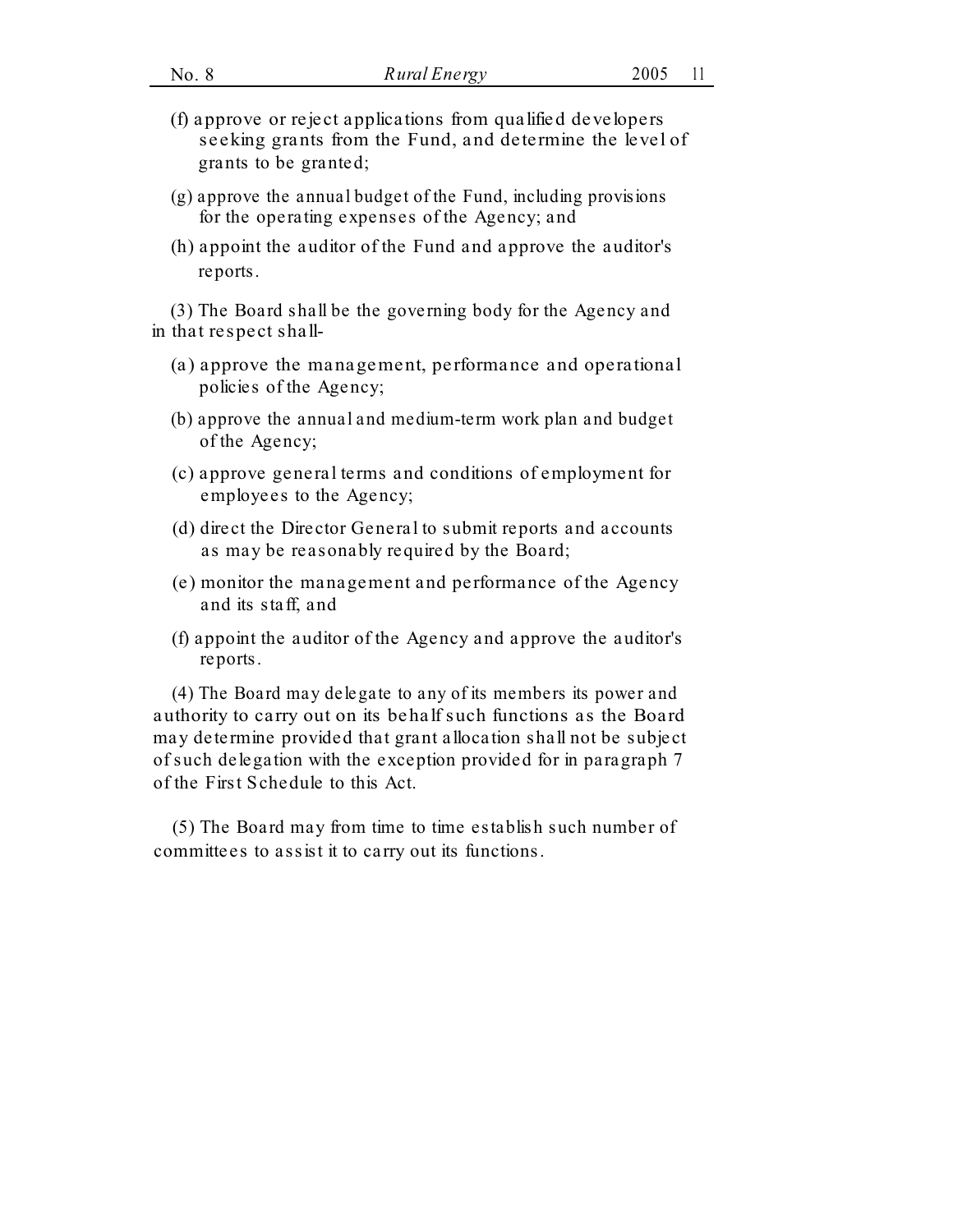- (f) approve or reject applications from qualified developers seeking grants from the Fund, and determine the level of grants to be granted;
- (g) approve the annual budget of the Fund, including provisions for the operating expenses of the Agency; and
- (h) appoint the auditor of the Fund and approve the auditor's reports.

(3) The Board shall be the governing body for the Agency and in that respect shall-

- (a) approve the management, performance and operational policies of the Agency;
- (b) approve the annual and medium-term work plan and budget of the Agency;
- (c) approve general terms and conditions of employment for employees to the Agency;
- (d) direct the Director General to submit reports and accounts as may be reasonably required by the Board;
- (e) monitor the management and performance of the Agency and its staff, and
- (f) appoint the auditor of the Agency and approve the auditor's reports.

(4) The Board may delegate to any of its members its power and authority to carry out on its behalf such functions as the Board may determine provided that grant allocation shall not be subject of such delegation with the exception provided for in paragraph 7 of the First Schedule to this Act.

(5) The Board may from time to time establish such number of committees to assist it to carry out its functions.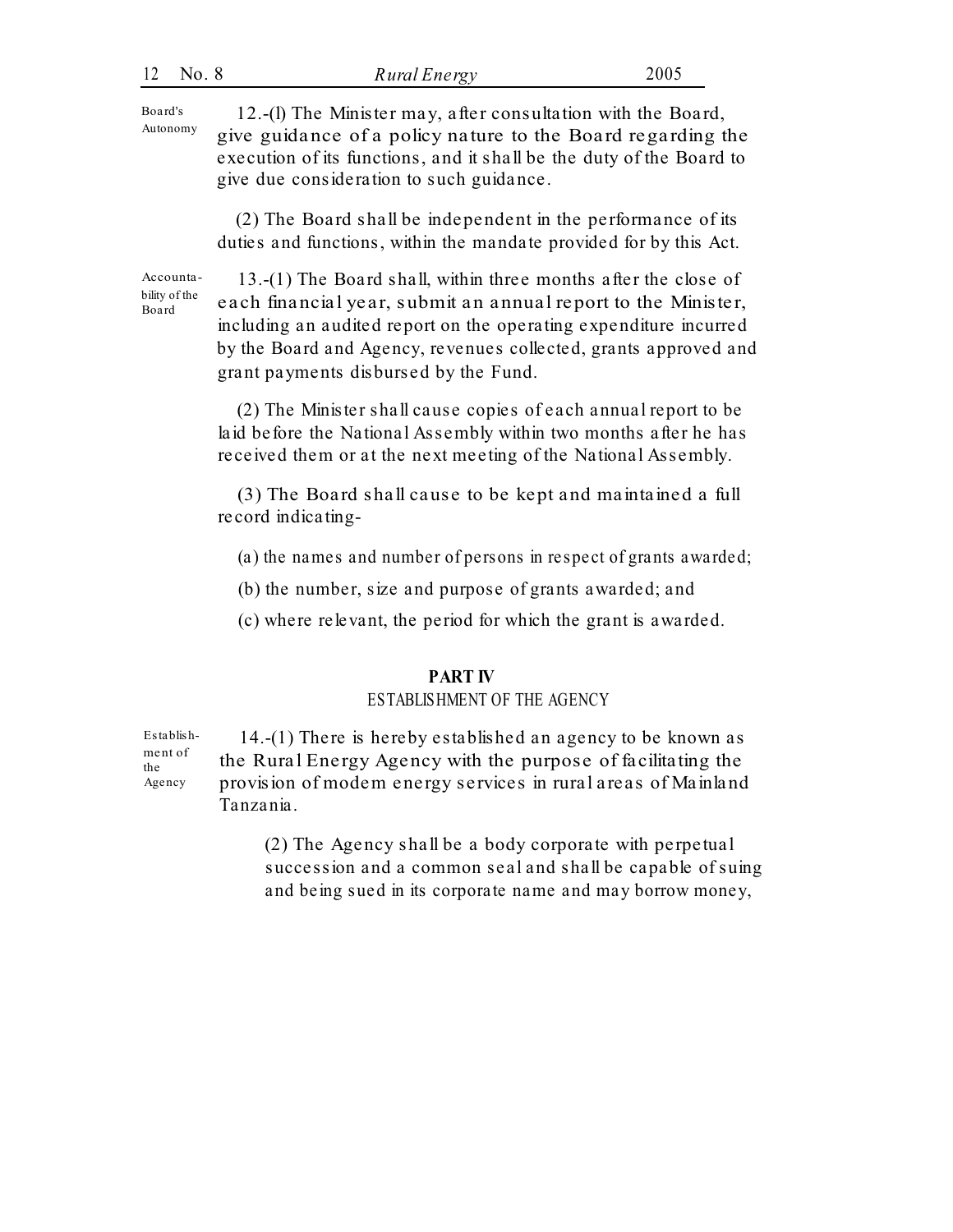Board's Autonomy

12.-(l) The Minister may, after consultation with the Board, give guidance of a policy nature to the Board regarding the execution of its functions, and it shall be the duty of the Board to give due consideration to such guidance.

(2) The Board shall be independent in the performance of its duties and functions, within the mandate provided for by this Act.

Accountability of the Board

13.-(1) The Board shall, within three months after the close of each financial year, submit an annual report to the Minister, including an audited report on the operating expenditure incurred by the Board and Agency, revenues collected, grants approved and grant payments disbursed by the Fund.

(2) The Minister shall cause copies of each annual report to be laid before the National Assembly within two months after he has received them or at the next meeting of the National Assembly.

(3) The Board shall cause to be kept and maintained a full record indicating-

- (a) the names and number of persons in respect of grants awarded;
- (b) the number, size and purpose of grants awarded; and
- (c) where relevant, the period for which the grant is awarded.

## **PART IV**

## ESTABLISHMENT OF THE AGENCY

14.-(1) There is hereby established an agency to be known as the Rural Energy Agency with the purpose of facilitating the provision of modem energy services in rural areas of Mainland Tanzania. Establishment of the Agency

> (2) The Agency shall be a body corporate with perpetual succession and a common seal and shall be capable of suing and being sued in its corporate name and may borrow money,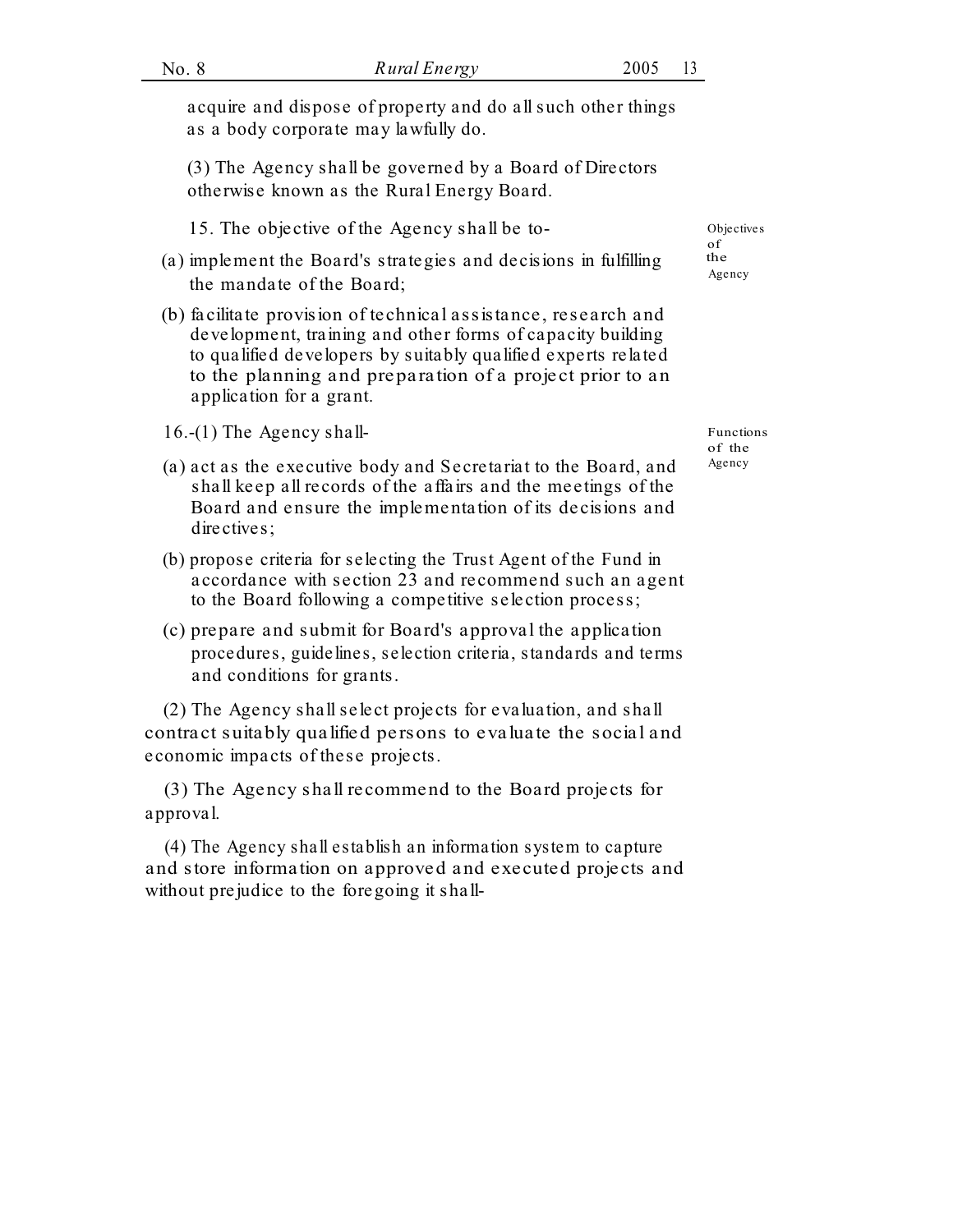acquire and dispose of property and do all such other things as a body corporate may lawfully do.

(3) The Agency shall be governed by a Board of Directors otherwise known as the Rural Energy Board.

- 15. The objective of the Agency shall be to- Objectives
- (a) implement the Board's strategies and decisions in fulfilling the  $A_{\text{gency}}$  the mandate of the Board;
- (b) facilitate provision of te chnical assistance, research and development, training and other forms of capacity building to qualified developers by suitably qualified experts related to the planning and preparation of a project prior to an application for a grant.
- 16.-(1) The Agency shall- Functions
- (a) act as the executive body and Secretariat to the Board, and  $\frac{Agency}{120}$ shall keep all records of the affairs and the meetings of the Board and ensure the implementation of its decisions and directives;
- (b) propose criteria for selecting the Trust Agent of the Fund in accordance with section 23 and recommend such an agent to the Board following a competitive selection process;
- (c) prepare and submit for Board's approval the application procedures, guidelines, selection criteria, standards and terms and conditions for grants.

(2) The Agency shall select projects for evaluation, and shall contract suitably qualified persons to evaluate the social and economic impacts of these projects.

(3) The Agency shall recommend to the Board projects for approval.

(4) The Agency shall establish an information system to capture and store information on approved and executed projects and without prejudice to the foregoing it shallof the

of the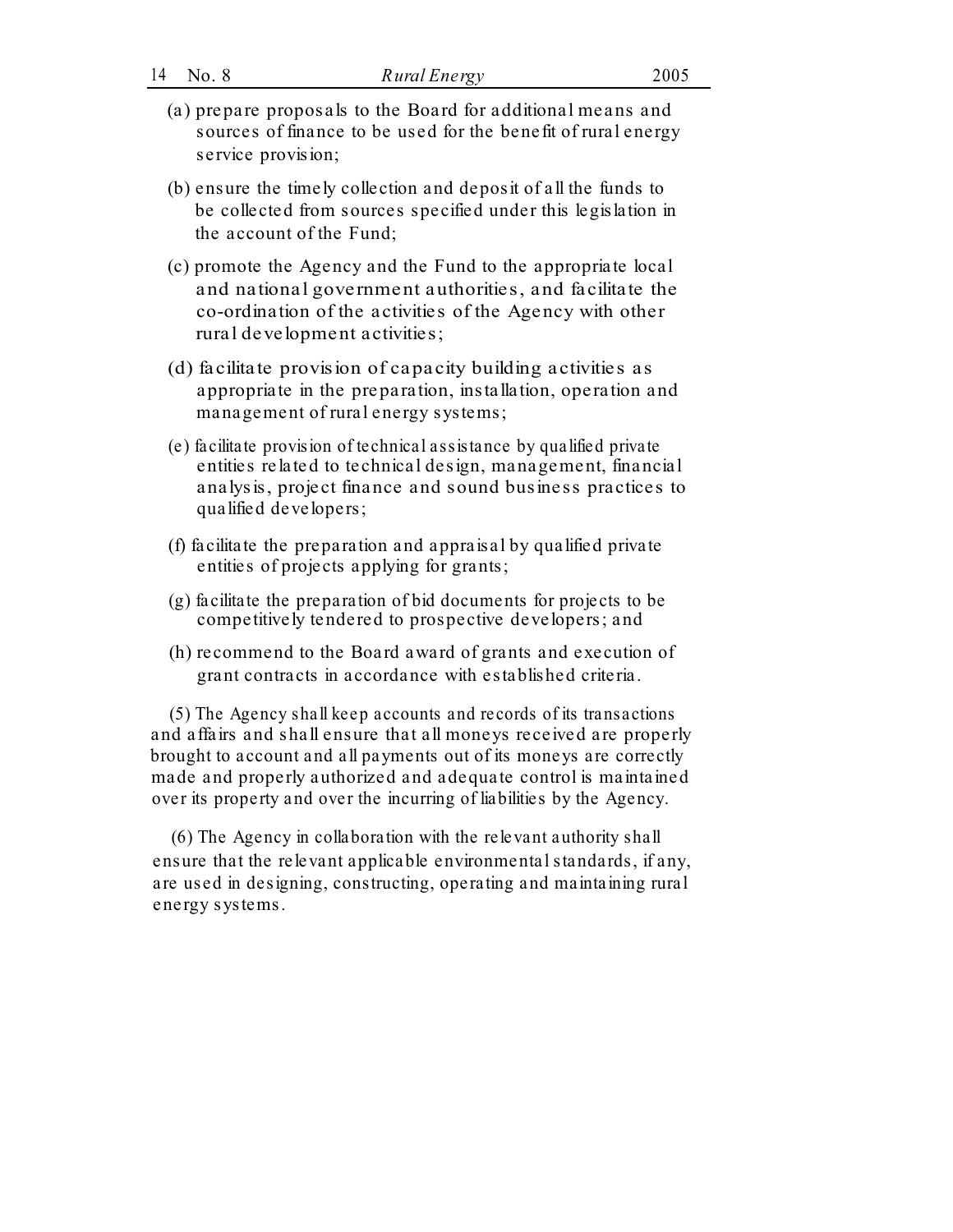- (a) prepare proposals to the Board for additional means and sources of finance to be used for the benefit of rural energy service provision;
- (b) ensure the timely collection and deposit of all the funds to be collected from sources specified under this legislation in the account of the Fund;
- (c) promote the Agency and the Fund to the appropriate local and national government authorities, and facilitate the co-ordination of the activities of the Agency with other rural development activities;
- (d) facilitate provision of capacity building activities as appropriate in the preparation, installation, operation and management of rural energy systems;
- (e) facilitate provision of te chnical assistance by qualified private entities related to technical design, management, financial analysis, project finance and sound business practices to qualified developers;
- (f) facilitate the preparation and appraisal by qualified private entities of projects applying for grants;
- (g) facilitate the preparation of bid documents for projects to be competitively tendered to prospective developers; and
- (h) recommend to the Board award of grants and execution of grant contracts in accordance with established criteria.

(5) The Agency shall keep accounts and records of its transactions and affairs and shall ensure that all moneys received are properly brought to account and all payments out of its moneys are correctly made and properly authorized and adequate control is maintained over its property and over the incurring of liabilities by the Agency.

(6) The Agency in collaboration with the relevant authority shall ensure that the relevant applicable environmental standards, if any, are used in designing, constructing, operating and maintaining rural energy systems.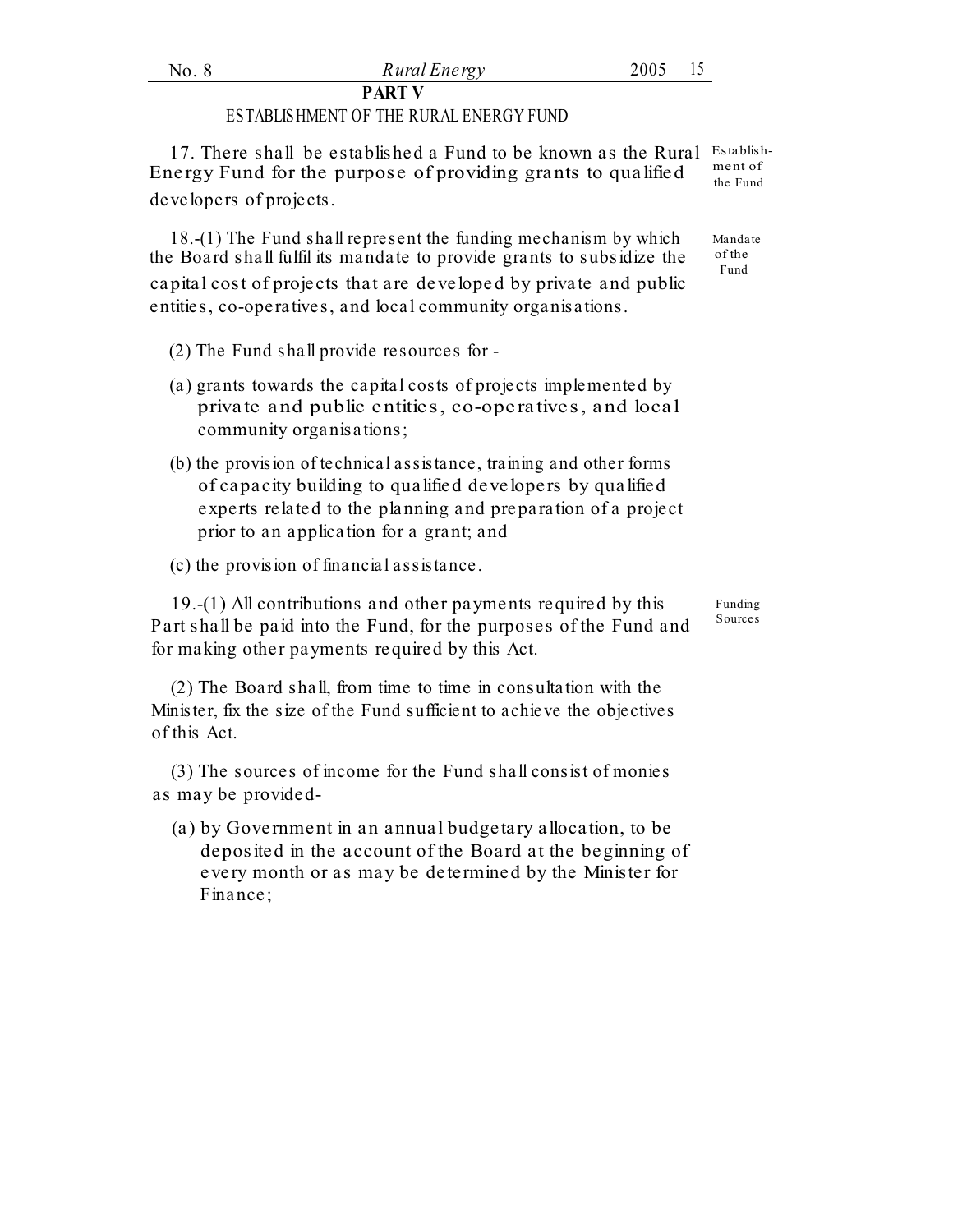#### **PART V**

### ESTABLISHMENT OF THE RURAL ENERGY FUND

17. There shall be established a Fund to be known as the Rural Establish-Energy Fund for the purpose of providing grants to qualified  $\frac{m_{\text{enct}}}{m_{\text{en}}}}$ developers of projects.

18.-(1) The Fund shall represent the funding mechanism by which the Board shall fulfil its mandate to provide grants to subsidize the  $\frac{\text{of the}}{\text{Fund}}$ capital cost of projects that are developed by private and public entities, co-operatives, and local community organisations.

- (2) The Fund shall provide resources for -
- (a) grants towards the capital costs of projects implemented by private and public entities, co-operatives, and local community organisations;
- (b) the provision of technical assistance, training and other forms of capacity building to qualified developers by qualified experts related to the planning and preparation of a project prior to an application for a grant; and

(c) the provision of financial assistance.

19.-(1) All contributions and other payments required by this Part shall be paid into the Fund, for the purposes of the Fund and for making other payments required by this Act.

(2) The Board shall, from time to time in consultation with the Minister, fix the size of the Fund sufficient to achieve the objectives of this Act.

(3) The sources of income for the Fund shall consist of monies as may be provided-

(a) by Government in an annual budgetary allocation, to be deposited in the account of the Board at the beginning of every month or as may be determined by the Minister for Finance;

ment of

Mandate of the

Funding Sources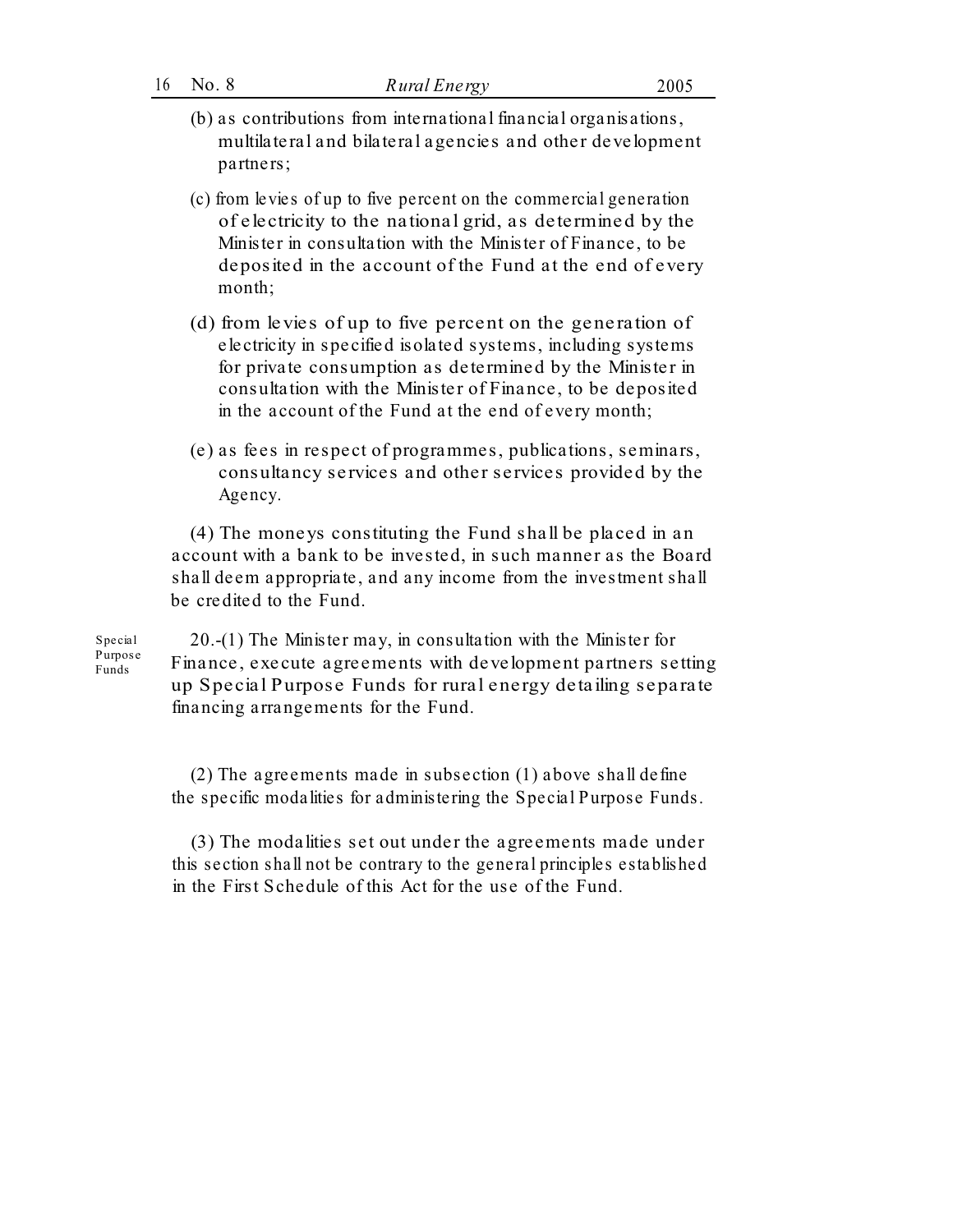| 16 | No. 8 |  |
|----|-------|--|
|    |       |  |

- (b) as contributions from international financial organisations, multilateral and bilateral agencies and other development partners;
- (c) from levies of up to five percent on the commercial generation of electricity to the national grid, as determined by the Minister in consultation with the Minister of Finance, to be deposited in the account of the Fund at the end of every month;
- (d) from levies of up to five percent on the generation of electricity in specified isolated systems, including systems for private consumption as determined by the Minister in consultation with the Minister of Finance, to be deposited in the account of the Fund at the end of every month;
- (e) as fees in respect of programmes, publications, seminars, consultancy services and other services provided by the Agency.

(4) The moneys constituting the Fund shall be placed in an account with a bank to be invested, in such manner as the Board shall deem appropriate, and any income from the investment shall be credited to the Fund.

Special Purpose Funds

20.-(1) The Minister may, in consultation with the Minister for Finance, execute agreements with development partners setting up Special Purpose Funds for rural energy deta iling separate financing arrangements for the Fund.

(2) The agreements made in subsection (1) above shall define the specific modalities for administering the Special Purpose Funds.

(3) The modalities set out under the agreements made under this section shall not be contrary to the general principles established in the First Schedule of this Act for the use of the Fund.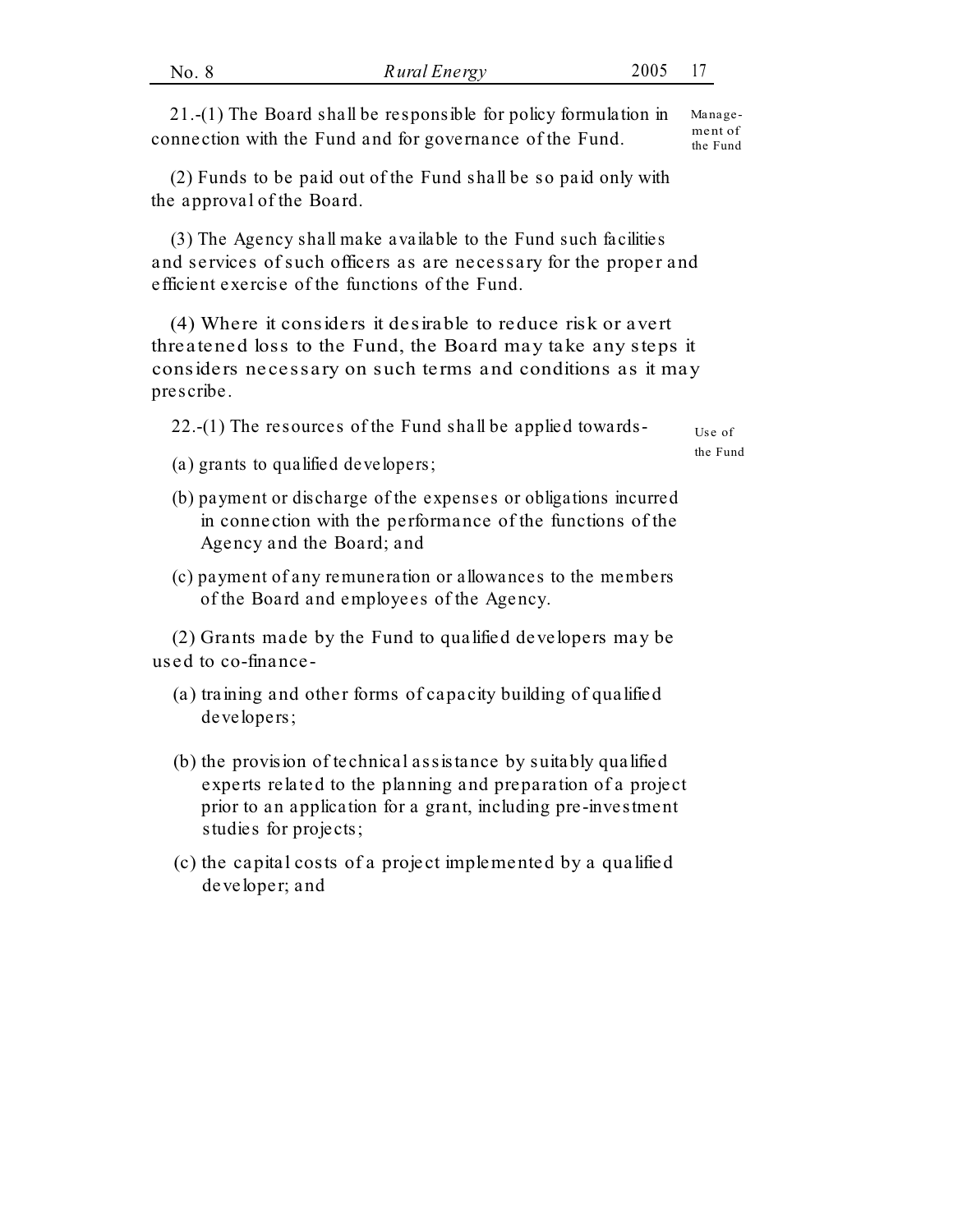| No. 8 | Rural Energy                                                             | 2005 17 |  |
|-------|--------------------------------------------------------------------------|---------|--|
|       |                                                                          |         |  |
|       | 21.-(1) The Board shall be responsible for policy formulation in Manage- |         |  |

connection with the Fund and for governance of the Fund. the Fund (2) Funds to be paid out of the Fund shall be so paid only with

the approval of the Board.

(3) The Agency shall make available to the Fund such facilities and services of such officers as are necessary for the proper and efficient exercise of the functions of the Fund.

(4) Where it considers it desirable to reduce risk or avert threatened loss to the Fund, the Board may take any steps it considers necessary on such terms and conditions as it may prescribe.

22.-(1) The resources of the Fund shall be applied towards-  $U_{\text{se of}}$ 

the Fund

- (a) grants to qualified developers;
- (b) payment or discharge of the expenses or obligations incurred in connection with the performance of the functions of the Agency and the Board; and
- (c) payment of any remuneration or allowances to the members of the Board and employees of the Agency.

(2) Grants made by the Fund to qualified developers may be used to co-finance-

- (a) training and other forms of capacity building of qualified developers;
- (b) the provision of technical assistance by suitably qualified experts related to the planning and preparation of a project prior to an application for a grant, including pre-investment studies for projects;
- (c) the capital costs of a project implemented by a qualified developer; and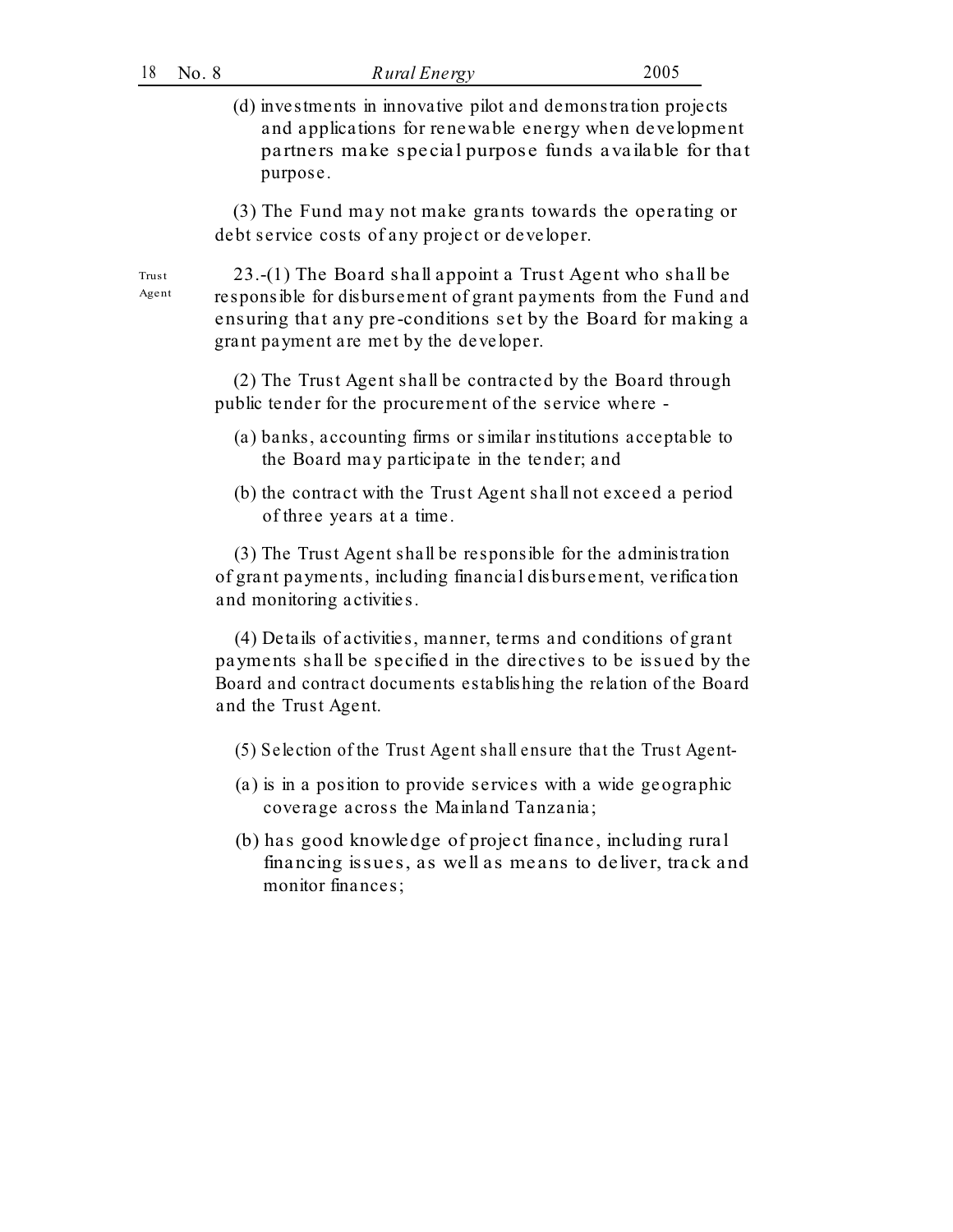(d) investments in innovative pilot and demonstration projects and applications for renewable energy when development partners make special purpose funds available for that purpose.

(3) The Fund may not make grants towards the operating or debt service costs of any project or developer.

23.-(1) The Board shall appoint a Trust Agent who shall be responsible for disbursement of grant payments from the Fund and ensuring that any pre-conditions set by the Board for making a grant payment are met by the developer.

(2) The Trust Agent shall be contracted by the Board through public tender for the procurement of the service where -

- (a) banks, accounting firms or similar institutions acceptable to the Board may participate in the tender; and
- (b) the contract with the Trust Agent shall not exceed a period of three years at a time.

(3) The Trust Agent shall be responsible for the administration of grant payments, including financial disbursement, verification and monitoring activities.

(4) Details of activities, manner, terms and conditions of grant payments shall be specified in the directives to be issued by the Board and contract documents establishing the relation of the Board and the Trust Agent.

- (5) Selection of the Trust Agent shall ensure that the Trust Agent-
- (a) is in a position to provide services with a wide geographic coverage across the Mainland Tanzania;
- (b) has good knowledge of project finance, including rural financing issues, as well as means to deliver, track and monitor finances;

Trust Agent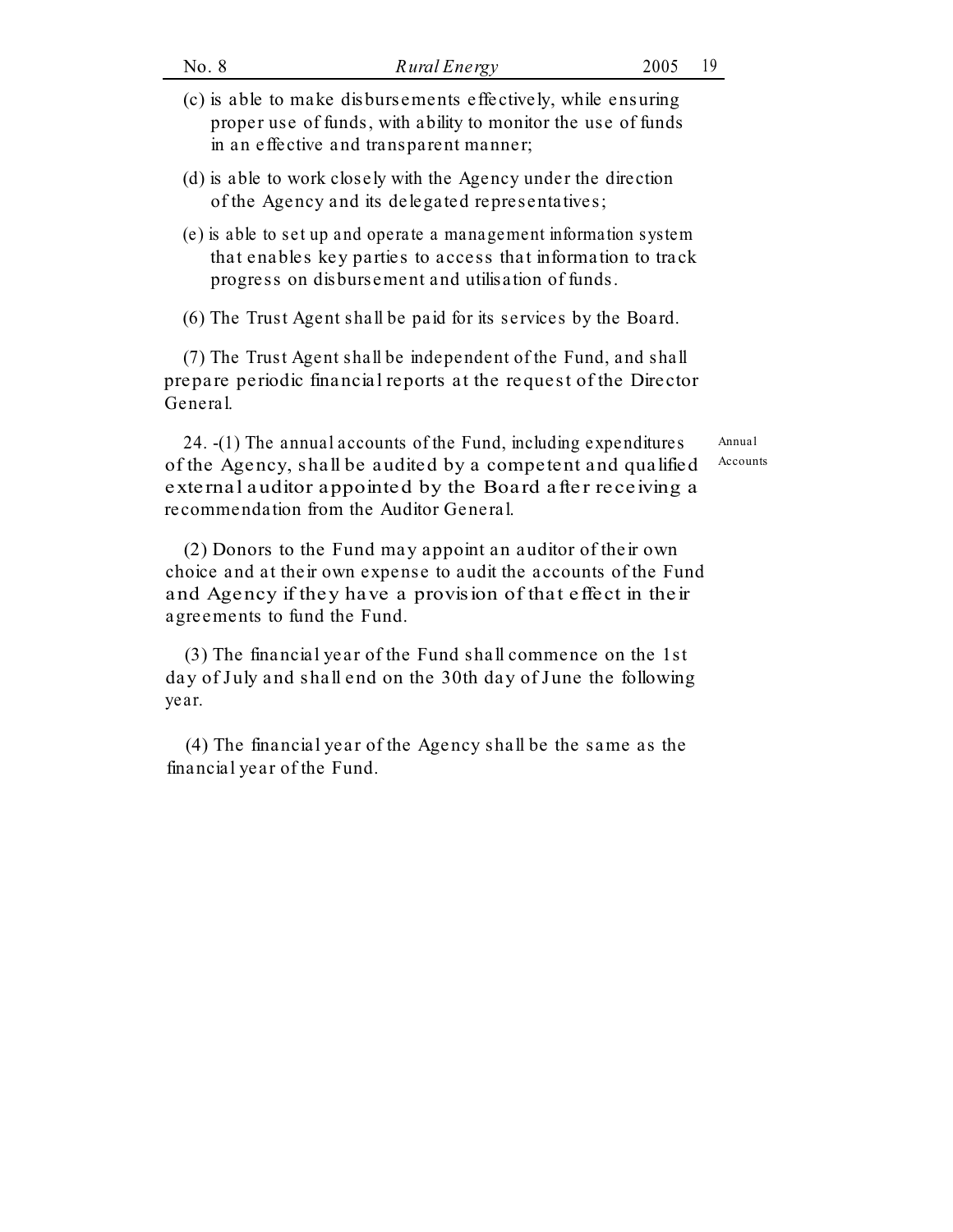- (c) is able to make disbursements effectively, while ensuring proper use of funds, with ability to monitor the use of funds in an effective and transparent manner;
- (d) is able to work closely with the Agency under the direction of the Agency and its delegated representatives;
- (e) is able to set up and operate a management information system that enables key parties to access that information to track progress on disbursement and utilisation of funds.

(6) The Trust Agent shall be paid for its services by the Board.

(7) The Trust Agent shall be independent of the Fund, and shall prepare periodic financial reports at the request of the Director General.

24. -(1) The annual accounts of the Fund, including expenditures of the Agency, shall be audited by a competent and qualified external auditor appointed by the Board after receiving a recommendation from the Auditor General.

(2) Donors to the Fund may appoint an auditor of their own choice and at their own expense to audit the accounts of the Fund and Agency if they have a provision of that effect in their agreements to fund the Fund.

(3) The financial year of the Fund shall commence on the 1st day of July and shall end on the 30th day of June the following year.

(4) The financial year of the Agency shall be the same as the financial year of the Fund.

Annual Accounts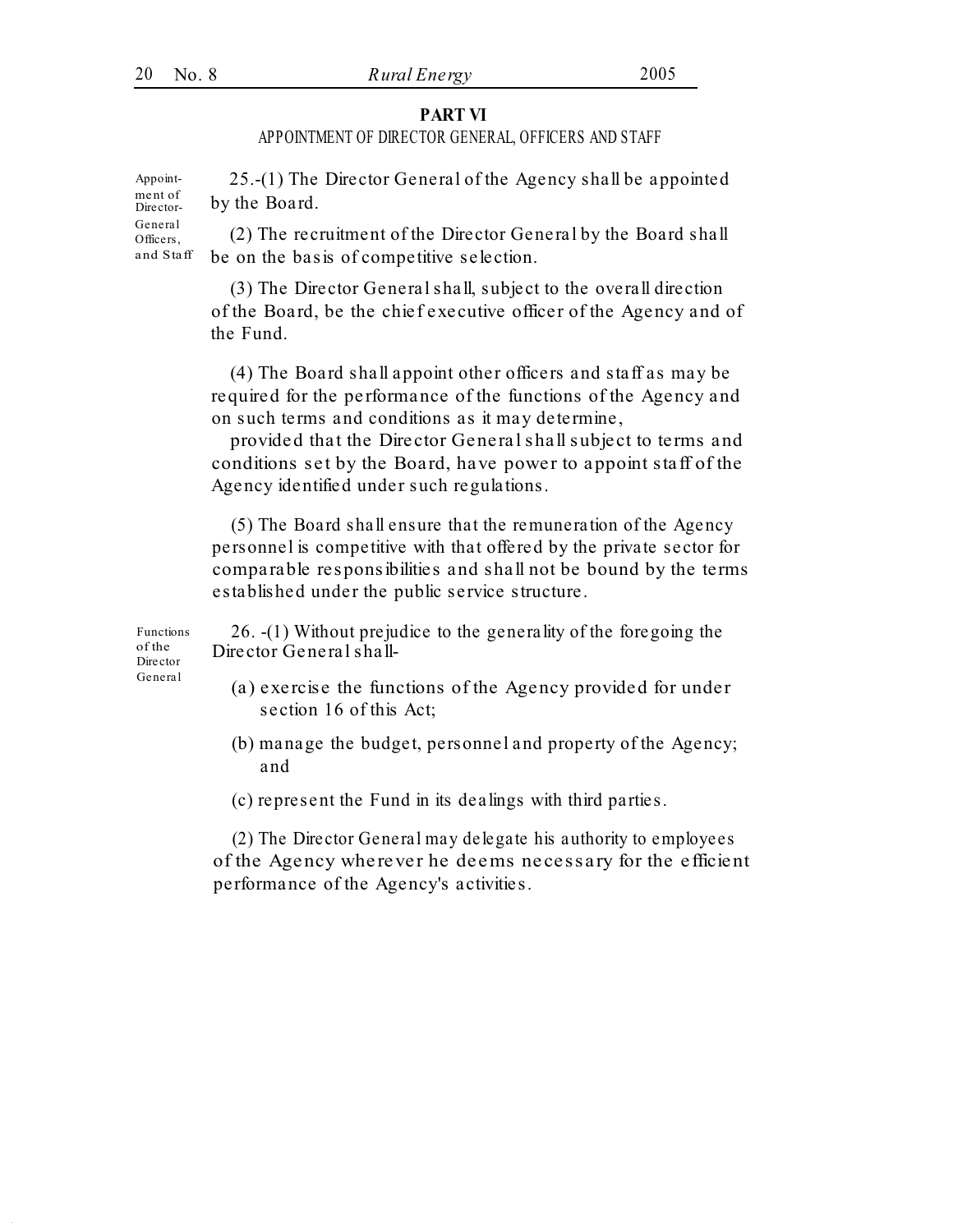#### **PART VI**

## APPOINTMENT OF DIRECTOR GENERAL, OFFICERS AND STAFF

25.-(1) The Director General of the Agency shall be appointed by the Board. Appoint-General (2) The recruitment of the Director General by the Board shall be on the basis of competitive selection. and Staff

> (3) The Director General shall, subject to the overall direction of the Board, be the chief executive officer of the Agency and of the Fund.

> (4) The Board shall appoint other officers and staff as may be required for the performance of the functions of the Agency and on such terms and conditions as it may determine,

> provided that the Director General shall subject to terms and conditions set by the Board, have power to appoint staff of the Agency identified under such regulations.

(5) The Board shall ensure that the remuneration of the Agency personnel is competitive with that offered by the private sector for comparable responsibilities and shall not be bound by the terms established under the public service structure.

Functions of the Director

26. -(1) Without prejudice to the generality of the foregoing the Director General shall-

- General (a) exercise the functions of the Agency provided for under section 16 of this Act;
	- (b) manage the budget, personnel and property of the Agency; and
	- (c) represent the Fund in its dealings with third parties.

(2) The Director General may delegate his authority to employees of the Agency wherever he deems necessary for the efficient performance of the Agency's activities.

ment of Director-Officers,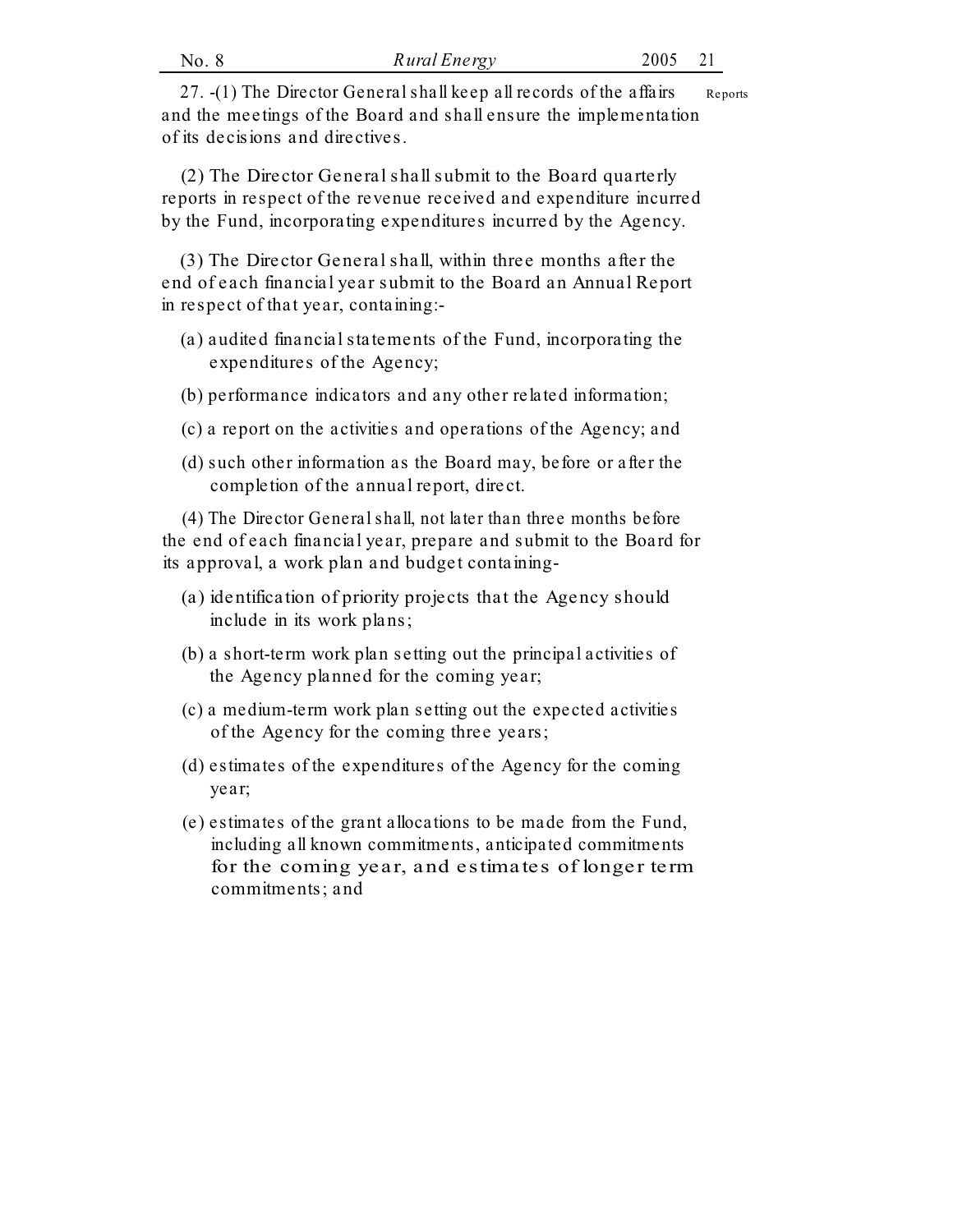| Rural Energy | 2005 |  |
|--------------|------|--|
|              |      |  |

27. -(1) The Director General shall keep all records of the affairs and the meetings of the Board and shall ensure the implementation of its decisions and directives. Reports

(2) The Director General shall submit to the Board quarterly reports in respect of the revenue received and expenditure incurred by the Fund, incorporating expenditures incurred by the Agency.

(3) The Director General shall, within three months after the end of each financial year submit to the Board an Annual Report in respect of that year, containing:-

- (a) audited financial statements of the Fund, incorporating the expenditures of the Agency;
- (b) performance indicators and any other related information;
- (c) a report on the activities and operations of the Agency; and
- (d) such other information as the Board may, before or after the completion of the annual report, direct.

(4) The Director General shall, not later than three months before the end of each financial year, prepare and submit to the Board for its approval, a work plan and budget containing-

- (a) identification of priority projects that the Agency should include in its work plans;
- (b) a short-term work plan setting out the principal activities of the Agency planned for the coming year;
- (c) a medium-term work plan setting out the expected activities of the Agency for the coming three years;
- (d) estimates of the expenditures of the Agency for the coming year;
- (e) estimates of the grant allocations to be made from the Fund, including all known commitments, anticipated commitments for the coming year, and estimates of longer term commitments; and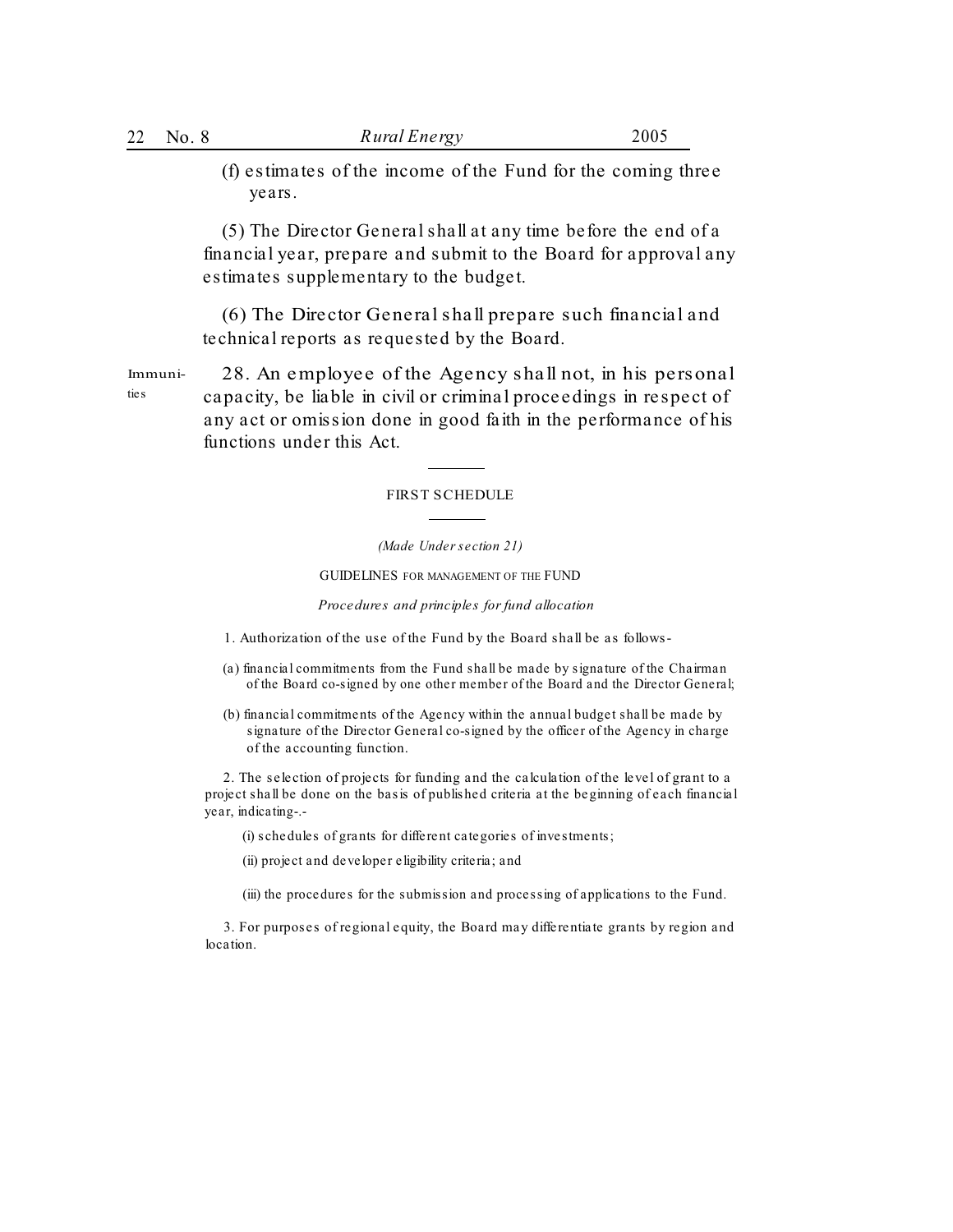(f) estimates of the income of the Fund for the coming three years.

(5) The Director General shall at any time before the end of a financial year, prepare and submit to the Board for approval any estimates supplementary to the budget.

(6) The Director General shall prepare such financial and technical reports as requested by the Board.

28. An employee of the Agency shall not, in his personal capacity, be liable in civil or criminal proceedings in respect of any act or omission done in good faith in the performance of his functions under this Act. Immunities

#### FIRST SCHEDULE

*(Made Under section 21)*

GUIDELINES FOR MANAGEMENT OF THE FUND

*Procedures and principles for fund allocation*

1. Authorization of the use of the Fund by the Board shall be as follows-

- (a) financial commitments from the Fund shall be made by signature of the Chairman of the Board co-signed by one other member of the Board and the Director General;
- (b) financial commitments of the Agency within the annual budget shall be made by signature of the Director General co-signed by the officer of the Agency in charge of the accounting function.

2. The selection of projects for funding and the calculation of the level of grant to a project shall be done on the basis of published criteria at the beginning of each financial year, indicating-.-

(i) schedules of grants for different categories of investments;

(ii) project and developer eligibility criteria; and

(iii) the procedures for the submission and processing of applications to the Fund.

3. For purposes of regional equity, the Board may differentiate grants by region and location.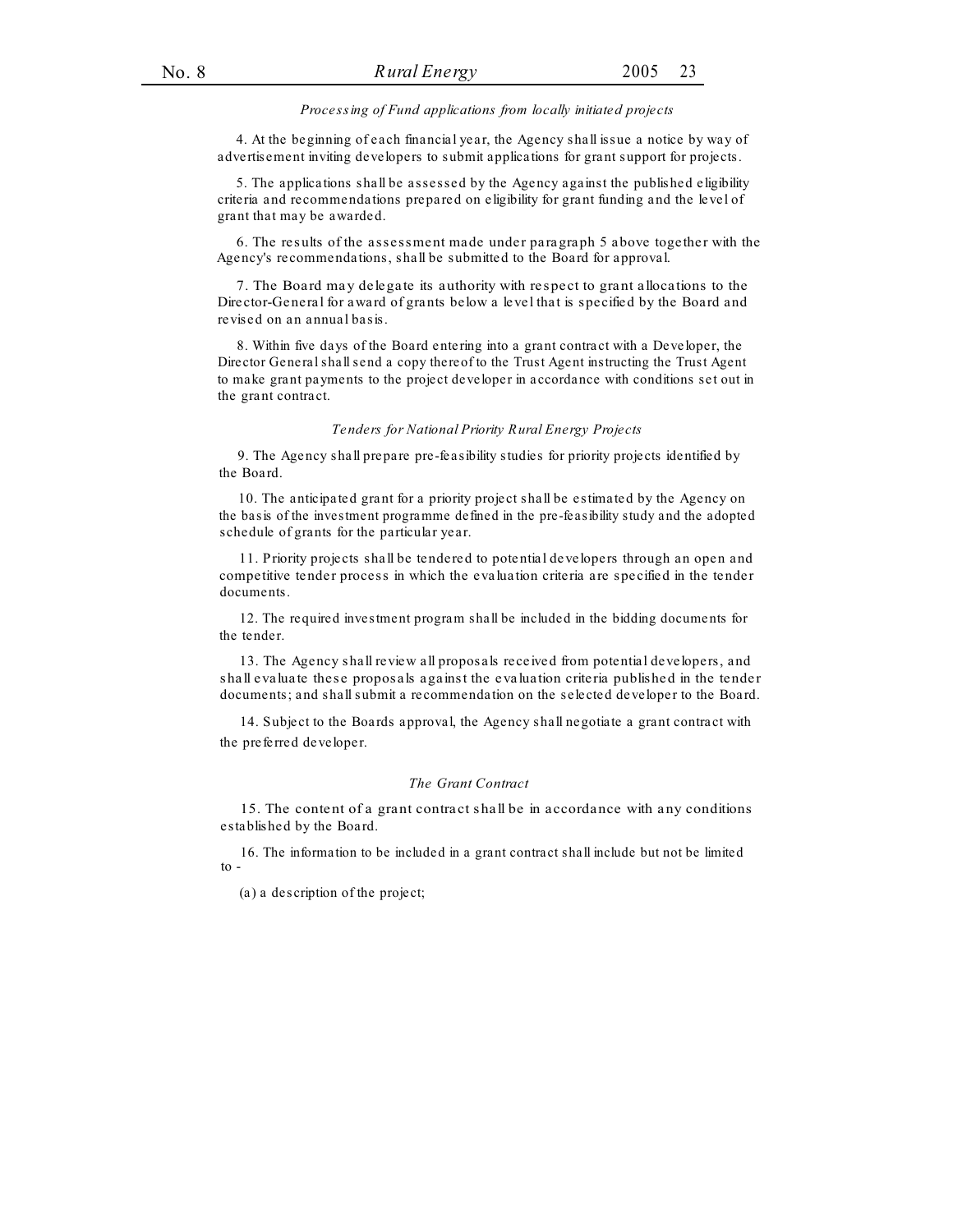#### *Processing of Fund applications from locally initiated projects*

4. At the beginning of each financial year, the Agency shall issue a notice by way of advertisement inviting developers to submit applications for grant support for projects.

5. The applications shall be assessed by the Agency against the published eligibility criteria and recommendations prepared on eligibility for grant funding and the level of grant that may be awarded.

6. The results of the assessment made under paragraph 5 above together with the Agency's recommendations, shall be submitted to the Board for approval.

7. The Board may delegate its authority with respect to grant allocations to the Director-General for award of grants below a level that is specified by the Board and revised on an annual basis.

8. Within five days of the Board entering into a grant contract with a Developer, the Director General shall send a copy thereof to the Trust Agent instructing the Trust Agent to make grant payments to the project developer in accordance with conditions set out in the grant contract.

#### *Tenders for National Priority Rural Energy Projects*

9. The Agency shall prepare pre-feasibility studies for priority projects identified by the Board.

10. The anticipated grant for a priority project shall be estimated by the Agency on the basis of the investment programme defined in the pre-feasibility study and the adopted schedule of grants for the particular year.

11. Priority projects shall be tendered to potential developers through an open and competitive tender process in which the evaluation criteria are specified in the tender documents.

12. The required investment program shall be included in the bidding documents for the tender.

13. The Agency shall review all proposals received from potential developers, and shall evaluate these proposals against the evaluation criteria published in the tender documents; and shall submit a recommendation on the selected developer to the Board.

14. Subject to the Boards approval, the Agency shall negotiate a grant contract with the preferred developer.

#### *The Grant Contract*

15. The content of a grant contract shall be in accordance with any conditions established by the Board.

16. The information to be included in a grant contract shall include but not be limited to -

(a) a description of the project;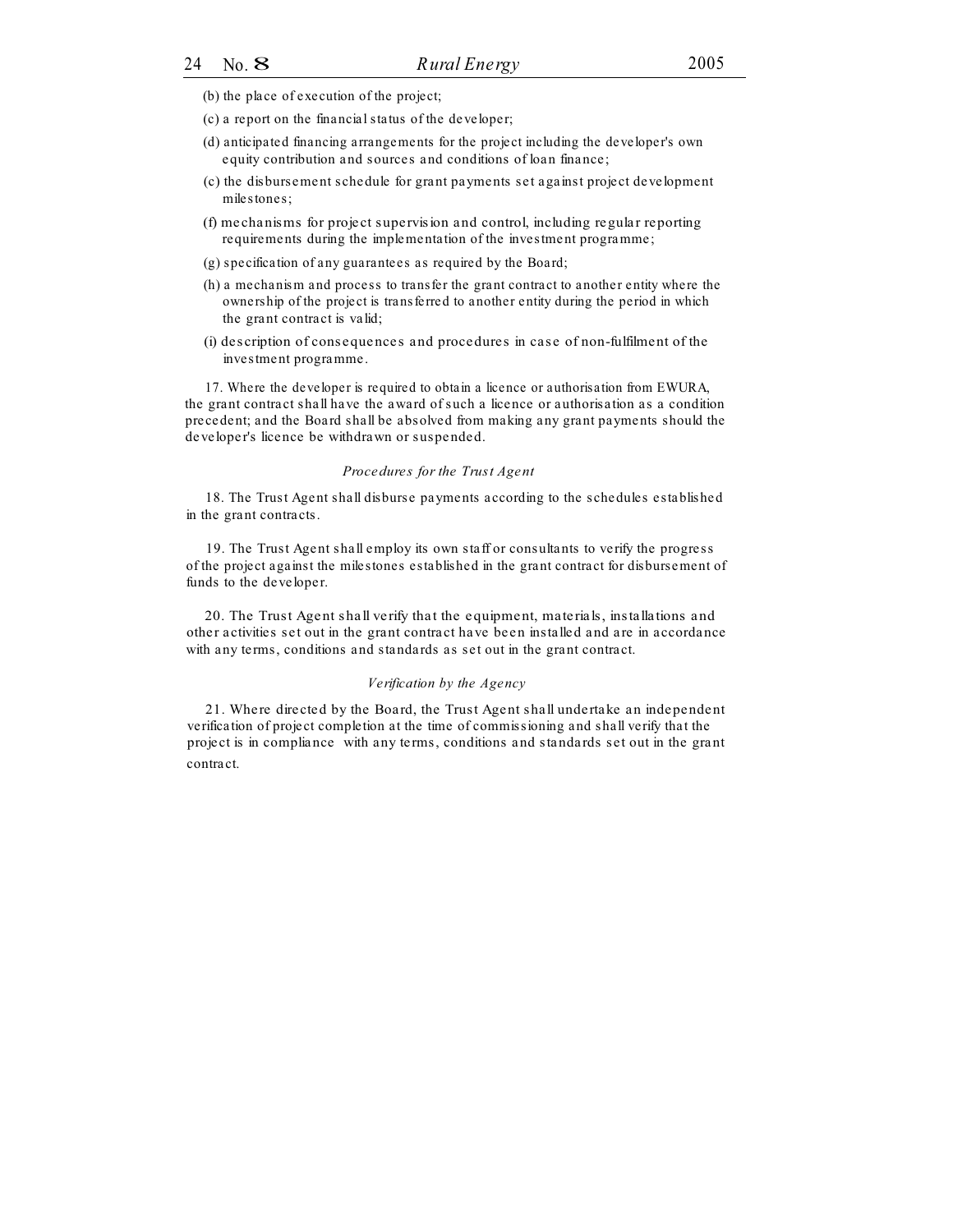- (b) the place of execution of the project;
- (c) a report on the financial status of the developer;
- (d) anticipated financing arrangements for the project including the developer's own equity contribution and sources and conditions of loan finance;
- (c) the disbursement schedule for grant payments set against project development milestones;
- (f) mechanisms for project supervision and control, including regular reporting requirements during the implementation of the investment programme;
- (g) specification of any guarantees as required by the Board;
- (h) a mechanism and process to transfer the grant contract to another entity where the ownership of the project is transferred to another entity during the period in which the grant contract is valid;
- (i) description of consequences and procedures in case of non-fulfilment of the investment programme.

17. Where the developer is required to obtain a licence or authorisation from EWURA, the grant contract shall have the award of such a licence or authorisation as a condition precedent; and the Board shall be absolved from making any grant payments should the developer's licence be withdrawn or suspended.

#### *Procedures for the Trust Agent*

18. The Trust Agent shall disburse payments according to the schedules established in the grant contracts.

19. The Trust Agent shall employ its own staff or consultants to verify the progress of the project against the milestones established in the grant contract for disbursement of funds to the developer.

20. The Trust Agent shall verify that the equipment, materials, installations and other activities set out in the grant contract have been installed and are in accordance with any terms, conditions and standards as set out in the grant contract.

#### *Verification by the Agency*

21. Where directed by the Board, the Trust Agent shall undertake an independent verification of project completion at the time of commissioning and shall verify that the project is in compliance with any terms, conditions and standards set out in the grant contract.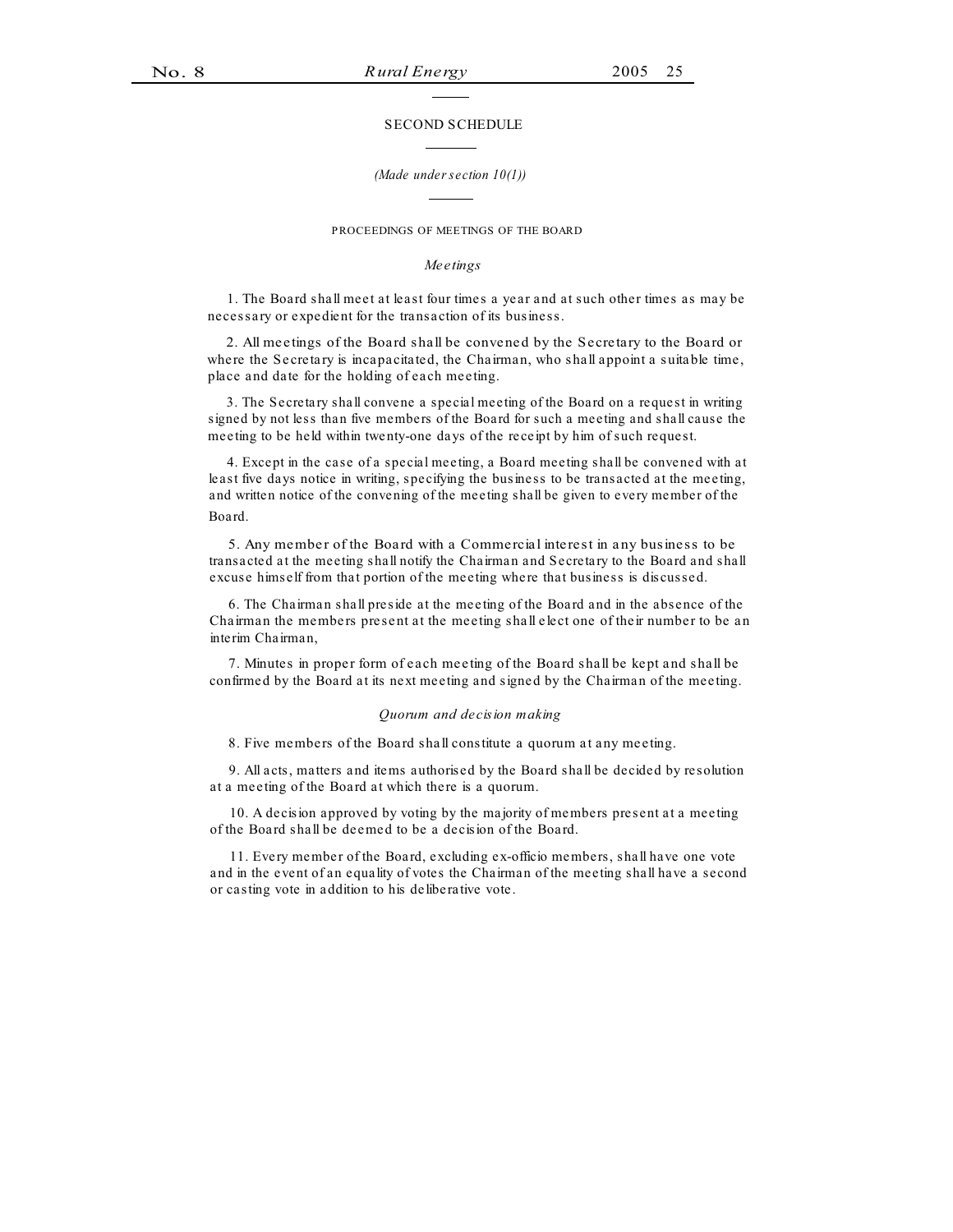#### SECOND SCHEDULE

#### *(Made under section 10(1))*

#### PROCEEDINGS OF MEETINGS OF THE BOARD

#### *Meetings*

1. The Board shall meet at least four times a year and at such other times as may be necessary or expedient for the transaction of its business.

2. All meetings of the Board shall be convened by the Secretary to the Board or where the Secretary is incapacitated, the Chairman, who shall appoint a suitable time, place and date for the holding of each meeting.

3. The Secretary shall convene a special meeting of the Board on a request in writing signed by not less than five members of the Board for such a meeting and shall cause the meeting to be held within twenty-one days of the receipt by him of such request.

4. Except in the case of a special meeting, a Board meeting shall be convened with at least five days notice in writing, specifying the business to be transacted at the meeting, and written notice of the convening of the meeting shall be given to every member of the Board.

5. Any member of the Board with a Commercial interest in any business to be transacted at the meeting shall notify the Chairman and Secretary to the Board and shall excuse himself from that portion of the meeting where that business is discussed.

6. The Chairman shall preside at the meeting of the Board and in the absence of the Chairman the members present at the meeting shall elect one of their number to be an interim Chairman,

7. Minutes in proper form of each meeting of the Board shall be kept and shall be confirmed by the Board at its next meeting and signed by the Chairman of the meeting.

#### *Quorum and decision making*

8. Five members of the Board shall constitute a quorum at any meeting.

9. All acts, matters and items authorised by the Board shall be decided by resolution at a meeting of the Board at which there is a quorum.

10. A decision approved by voting by the majority of members present at a meeting of the Board shall be deemed to be a decision of the Board.

11. Every member of the Board, excluding ex-officio members, shall have one vote and in the event of an equality of votes the Chairman of the meeting shall have a second or casting vote in addition to his deliberative vote.